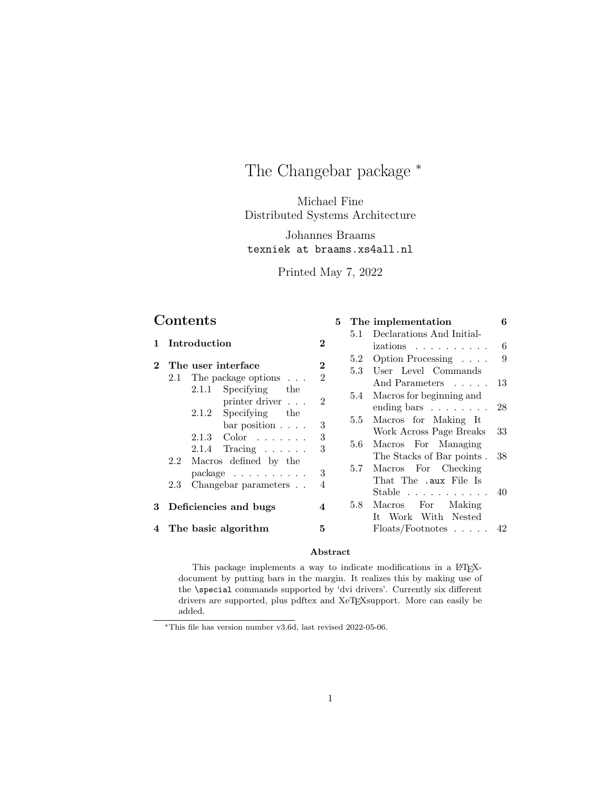# The Changebar package  $*$

Michael Fine Distributed Systems Architecture

Johannes Braams texniek at braams.xs4all.nl

Printed May 7, 2022

5 The implementation 6

## Contents

|   |                                                 |                | 5.1 | Declarations And Initial-               |     |
|---|-------------------------------------------------|----------------|-----|-----------------------------------------|-----|
|   | Introduction                                    | $\bf{2}$       |     | izations                                | 6   |
|   | The user interface                              | $\bf{2}$       | 5.2 | Option Processing $\ldots$ .            | 9   |
|   |                                                 | $\mathfrak{D}$ | 5.3 | User Level Commands                     |     |
|   | 2.1 The package options $\ldots$                |                |     | And Parameters 13                       |     |
|   | 2.1.1 Specifying<br>the<br>printer driver       | $\mathfrak{D}$ | 5.4 | Macros for beginning and                |     |
|   | 2.1.2 Specifying the                            |                |     | ending bars $\ldots \ldots \ldots 28$   |     |
|   | $bar position \dots$ .                          | 3              | 5.5 | Macros for Making It                    |     |
|   |                                                 |                |     | Work Across Page Breaks                 | 33  |
|   | $2.1.3$ Color                                   | 3<br>3         | 5.6 | Macros For Managing                     |     |
|   | $2.1.4$ Tracing<br>Macros defined by the<br>2.2 |                |     | The Stacks of Bar points.               | -38 |
|   | $package \dots \dots \dots$                     | 3              | 5.7 | Macros For Checking                     |     |
|   |                                                 |                |     | That The .aux File Is                   |     |
|   | Changebar parameters<br>2.3                     | 4              |     | Stable $\ldots \ldots \ldots \ldots 40$ |     |
| 3 | Deficiencies and bugs                           |                | 5.8 | Macros For<br>Making                    |     |
|   |                                                 |                |     | It Work With Nested                     |     |
|   | 4 The basic algorithm                           | 5              |     | $F$ loats/Footnotes  42                 |     |

### Abstract

This package implements a way to indicate modifications in a LATEXdocument by putting bars in the margin. It realizes this by making use of the \special commands supported by 'dvi drivers'. Currently six different drivers are supported, plus pdftex and XeT<sub>E</sub>Xsupport. More can easily be added.

<sup>∗</sup>This file has version number v3.6d, last revised 2022-05-06.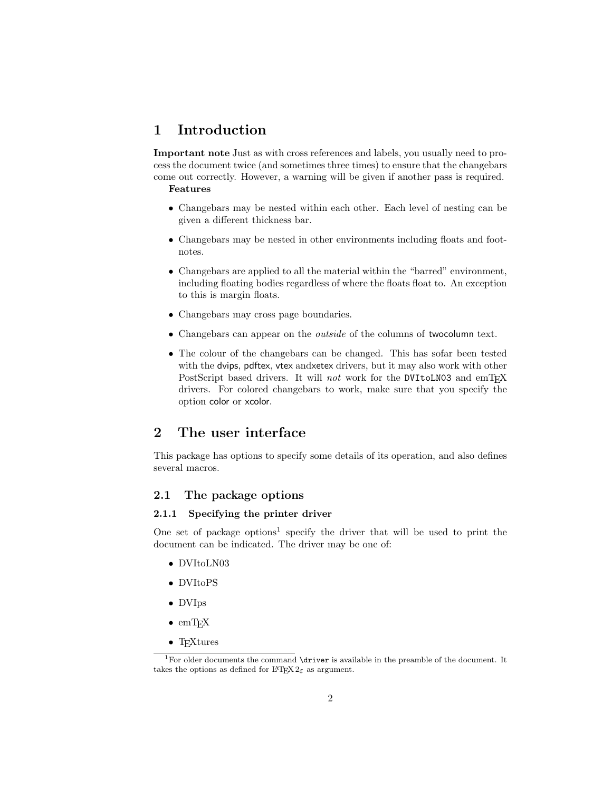## 1 Introduction

Important note Just as with cross references and labels, you usually need to process the document twice (and sometimes three times) to ensure that the changebars come out correctly. However, a warning will be given if another pass is required.

### Features

- Changebars may be nested within each other. Each level of nesting can be given a different thickness bar.
- Changebars may be nested in other environments including floats and footnotes.
- Changebars are applied to all the material within the "barred" environment, including floating bodies regardless of where the floats float to. An exception to this is margin floats.
- Changebars may cross page boundaries.
- Changebars can appear on the outside of the columns of twocolumn text.
- The colour of the changebars can be changed. This has sofar been tested with the dvips, pdftex, vtex andxetex drivers, but it may also work with other PostScript based drivers. It will *not* work for the DVItoLN03 and emT $FX$ drivers. For colored changebars to work, make sure that you specify the option color or xcolor.

## 2 The user interface

This package has options to specify some details of its operation, and also defines several macros.

## 2.1 The package options

### 2.1.1 Specifying the printer driver

One set of package options<sup>1</sup> specify the driver that will be used to print the document can be indicated. The driver may be one of:

- DVItoLN03
- DVItoPS
- DVIps
- $\bullet$  emTFX
- T<sub>F</sub>Xtures

<sup>&</sup>lt;sup>1</sup>For older documents the command  $\dagger$  variable in the preamble of the document. It takes the options as defined for  $\text{LATEX } 2\varepsilon$  as argument.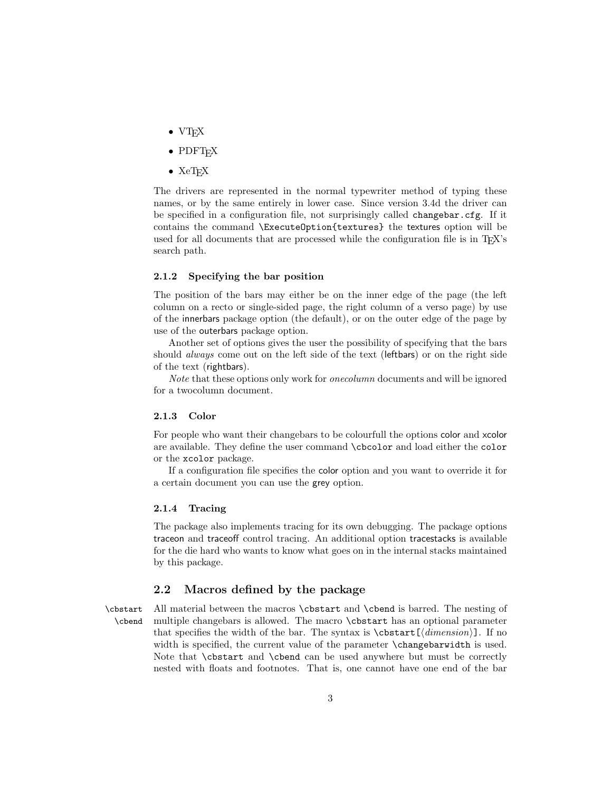- $\bullet$  VT<sub>E</sub>X
- PDFT<sub>F</sub>X
- $\bullet$  XeTFX

The drivers are represented in the normal typewriter method of typing these names, or by the same entirely in lower case. Since version 3.4d the driver can be specified in a configuration file, not surprisingly called changebar.cfg. If it contains the command \ExecuteOption{textures} the textures option will be used for all documents that are processed while the configuration file is in T<sub>E</sub>X's search path.

#### 2.1.2 Specifying the bar position

The position of the bars may either be on the inner edge of the page (the left column on a recto or single-sided page, the right column of a verso page) by use of the innerbars package option (the default), or on the outer edge of the page by use of the outerbars package option.

Another set of options gives the user the possibility of specifying that the bars should always come out on the left side of the text (leftbars) or on the right side of the text (rightbars).

Note that these options only work for *onecolumn* documents and will be ignored for a twocolumn document.

#### 2.1.3 Color

For people who want their changebars to be colourfull the options color and xcolor are available. They define the user command \cbcolor and load either the color or the xcolor package.

If a configuration file specifies the color option and you want to override it for a certain document you can use the grey option.

#### 2.1.4 Tracing

The package also implements tracing for its own debugging. The package options traceon and traceoff control tracing. An additional option tracestacks is available for the die hard who wants to know what goes on in the internal stacks maintained by this package.

### 2.2 Macros defined by the package

\cbstart All material between the macros \cbstart and \cbend is barred. The nesting of \cbend multiple changebars is allowed. The macro \cbstart has an optional parameter that specifies the width of the bar. The syntax is  $\cosh\left(\frac{\dimension}{\sin\theta}\right)$ . If no width is specified, the current value of the parameter **\changebarwidth** is used. Note that \cbstart and \cbend can be used anywhere but must be correctly nested with floats and footnotes. That is, one cannot have one end of the bar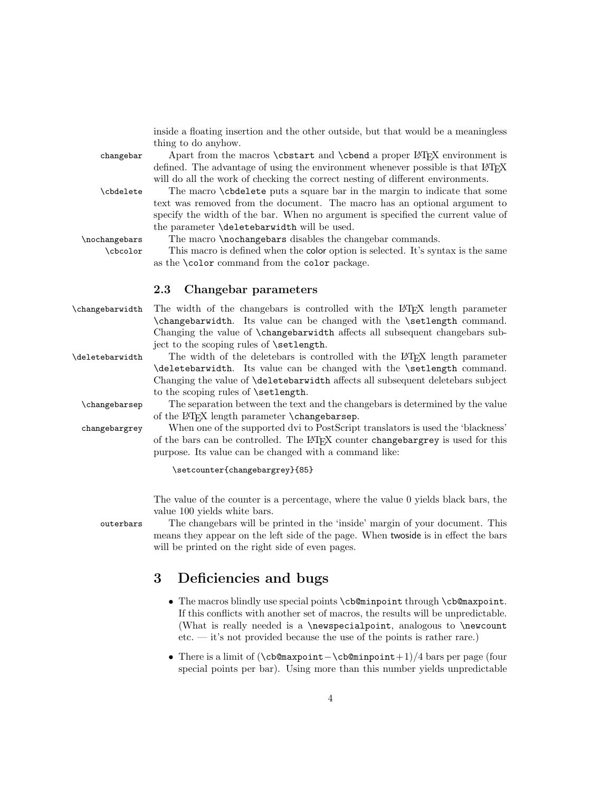|                 | inside a floating insertion and the other outside, but that would be a meaningless                                                                         |
|-----------------|------------------------------------------------------------------------------------------------------------------------------------------------------------|
|                 | thing to do anyhow.                                                                                                                                        |
| changebar       | Apart from the macros \cbstart and \cbend a proper LATFX environment is<br>defined. The advantage of using the environment whenever possible is that IATEX |
|                 | will do all the work of checking the correct nesting of different environments.                                                                            |
| \cbdelete       | The macro \cbdelete puts a square bar in the margin to indicate that some                                                                                  |
|                 | text was removed from the document. The macro has an optional argument to                                                                                  |
|                 | specify the width of the bar. When no argument is specified the current value of                                                                           |
|                 | the parameter \deletebarwidth will be used.                                                                                                                |
| \nochangebars   | The macro \nochangebars disables the changebar commands.                                                                                                   |
| \cbcolor        | This macro is defined when the color option is selected. It's syntax is the same                                                                           |
|                 | as the <b>\color</b> command from the color package.                                                                                                       |
|                 | $2.3\,$<br>Changebar parameters                                                                                                                            |
| \changebarwidth | The width of the changebars is controlled with the L <sup>A</sup> T <sub>F</sub> X length parameter                                                        |
|                 | \changebarwidth. Its value can be changed with the \setlength command.                                                                                     |
|                 | Changing the value of \changebarwidth affects all subsequent changebars sub-                                                                               |
|                 | ject to the scoping rules of <b>\setlength</b> .                                                                                                           |
| \deletebarwidth | The width of the deletebars is controlled with the LAT <sub>E</sub> X length parameter                                                                     |
|                 | \deletebarwidth. Its value can be changed with the \setlength command.                                                                                     |
|                 | Changing the value of <b>\deletebarwidth</b> affects all subsequent deletebars subject<br>to the scoping rules of \setlength.                              |
| \changebarsep   | The separation between the text and the changebars is determined by the value                                                                              |
|                 | of the L <sup>AT</sup> FX length parameter \changebarsep.                                                                                                  |
| changebargrey   | When one of the supported dvi to PostScript translators is used the 'blackness'                                                                            |
|                 | of the bars can be controlled. The L <sup>A</sup> T <sub>F</sub> X counter changebargrey is used for this                                                  |
|                 | purpose. Its value can be changed with a command like:                                                                                                     |
|                 | \setcounter{changebargrey}{85}                                                                                                                             |
|                 |                                                                                                                                                            |

The value of the counter is a percentage, where the value 0 yields black bars, the value 100 yields white bars.

outerbars The changebars will be printed in the 'inside' margin of your document. This means they appear on the left side of the page. When twoside is in effect the bars will be printed on the right side of even pages.

## 3 Deficiencies and bugs

- The macros blindly use special points \cb@minpoint through \cb@maxpoint. If this conflicts with another set of macros, the results will be unpredictable. (What is really needed is a \newspecialpoint, analogous to \newcount etc. — it's not provided because the use of the points is rather rare.)
- There is a limit of (\cb@maxpoint−\cb@minpoint+1)/4 bars per page (four special points per bar). Using more than this number yields unpredictable

4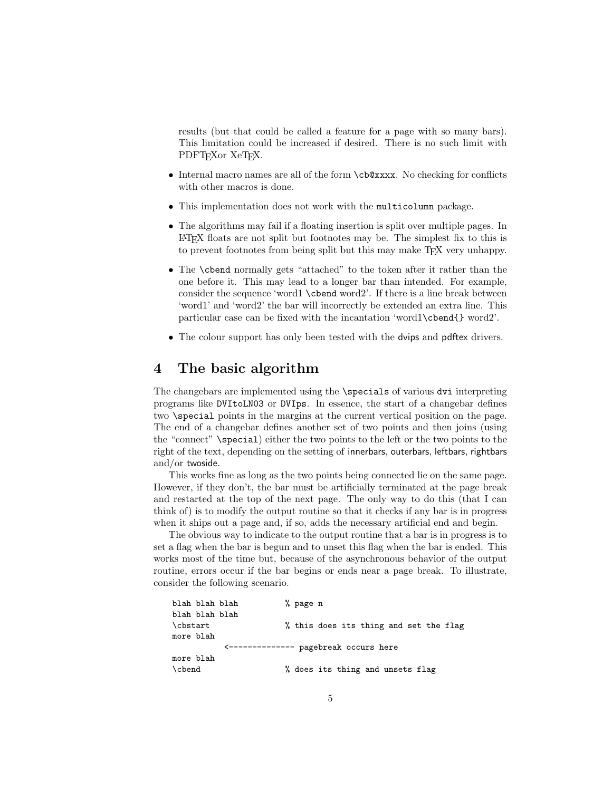results (but that could be called a feature for a page with so many bars). This limitation could be increased if desired. There is no such limit with PDFT<sub>F</sub>X<sub>or</sub> XeT<sub>F</sub>X.

- Internal macro names are all of the form \cb@xxxx. No checking for conflicts with other macros is done.
- This implementation does not work with the multicolumn package.
- The algorithms may fail if a floating insertion is split over multiple pages. In LATEX floats are not split but footnotes may be. The simplest fix to this is to prevent footnotes from being split but this may make TEX very unhappy.
- The \cbend normally gets "attached" to the token after it rather than the one before it. This may lead to a longer bar than intended. For example, consider the sequence 'word1 \cbend word2'. If there is a line break between 'word1' and 'word2' the bar will incorrectly be extended an extra line. This particular case can be fixed with the incantation 'word1\cbend{} word2'.
- The colour support has only been tested with the **dvips** and **pdftex** drivers.

## 4 The basic algorithm

The changebars are implemented using the \specials of various dvi interpreting programs like DVItoLN03 or DVIps. In essence, the start of a changebar defines two \special points in the margins at the current vertical position on the page. The end of a changebar defines another set of two points and then joins (using the "connect" \special) either the two points to the left or the two points to the right of the text, depending on the setting of innerbars, outerbars, leftbars, rightbars and/or twoside.

This works fine as long as the two points being connected lie on the same page. However, if they don't, the bar must be artificially terminated at the page break and restarted at the top of the next page. The only way to do this (that I can think of) is to modify the output routine so that it checks if any bar is in progress when it ships out a page and, if so, adds the necessary artificial end and begin.

The obvious way to indicate to the output routine that a bar is in progress is to set a flag when the bar is begun and to unset this flag when the bar is ended. This works most of the time but, because of the asynchronous behavior of the output routine, errors occur if the bar begins or ends near a page break. To illustrate, consider the following scenario.

| blah blah blah                                     |  |
|----------------------------------------------------|--|
| \cbstart<br>% this does its thing and set the flag |  |
| more blah                                          |  |
| <------------- pagebreak occurs here               |  |
| more blah                                          |  |
| \cbend<br>% does its thing and unsets flag         |  |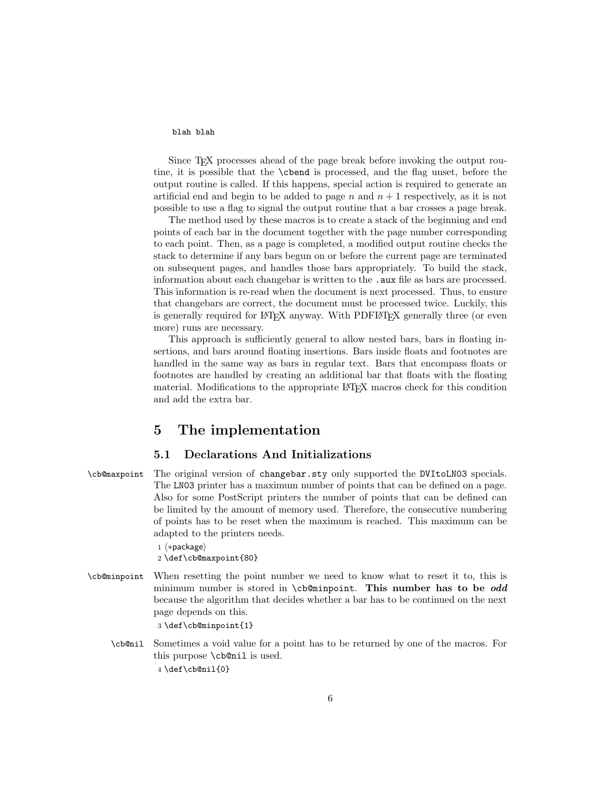#### blah blah

Since T<sub>EX</sub> processes ahead of the page break before invoking the output routine, it is possible that the \cbend is processed, and the flag unset, before the output routine is called. If this happens, special action is required to generate an artificial end and begin to be added to page  $n$  and  $n + 1$  respectively, as it is not possible to use a flag to signal the output routine that a bar crosses a page break.

The method used by these macros is to create a stack of the beginning and end points of each bar in the document together with the page number corresponding to each point. Then, as a page is completed, a modified output routine checks the stack to determine if any bars begun on or before the current page are terminated on subsequent pages, and handles those bars appropriately. To build the stack, information about each changebar is written to the .aux file as bars are processed. This information is re-read when the document is next processed. Thus, to ensure that changebars are correct, the document must be processed twice. Luckily, this is generally required for LAT<sub>EX</sub> anyway. With PDFLAT<sub>EX</sub> generally three (or even more) runs are necessary.

This approach is sufficiently general to allow nested bars, bars in floating insertions, and bars around floating insertions. Bars inside floats and footnotes are handled in the same way as bars in regular text. Bars that encompass floats or footnotes are handled by creating an additional bar that floats with the floating material. Modifications to the appropriate LATEX macros check for this condition and add the extra bar.

## 5 The implementation

## 5.1 Declarations And Initializations

\cb@maxpoint The original version of changebar.sty only supported the DVItoLN03 specials. The LN03 printer has a maximum number of points that can be defined on a page. Also for some PostScript printers the number of points that can be defined can be limited by the amount of memory used. Therefore, the consecutive numbering of points has to be reset when the maximum is reached. This maximum can be adapted to the printers needs.

```
1 ⟨∗package⟩
2 \def\cb@maxpoint{80}
```
\cb@minpoint When resetting the point number we need to know what to reset it to, this is minimum number is stored in  $\cosh$ . This number has to be odd because the algorithm that decides whether a bar has to be continued on the next page depends on this.

3 \def\cb@minpoint{1}

\cb@nil Sometimes a void value for a point has to be returned by one of the macros. For this purpose \cb@nil is used. 4 \def\cb@nil{0}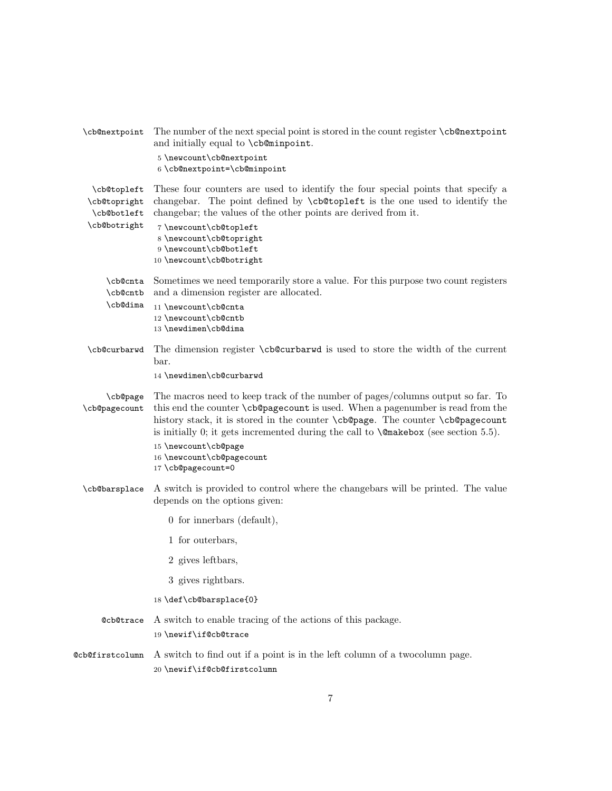| \cb@nextpoint                                              | The number of the next special point is stored in the count register \cb@nextpoint<br>and initially equal to \cb@minpoint.                                                                                                                                                                                                                                                                                                      |
|------------------------------------------------------------|---------------------------------------------------------------------------------------------------------------------------------------------------------------------------------------------------------------------------------------------------------------------------------------------------------------------------------------------------------------------------------------------------------------------------------|
|                                                            | 5 \newcount\cb@nextpoint<br>6 \cb@nextpoint=\cb@minpoint                                                                                                                                                                                                                                                                                                                                                                        |
| \cb@topleft<br>\cb@topright<br>\cb@botleft<br>\cb@botright | These four counters are used to identify the four special points that specify a<br>changebar. The point defined by <b>\cb@topleft</b> is the one used to identify the<br>changebar; the values of the other points are derived from it.<br>7\newcount\cb@topleft<br>8 \newcount\cb@topright<br>9 \newcount\cb@botleft<br>10 \newcount\cb@botright                                                                               |
| \cb@cnta<br>\cb@cntb                                       | Sometimes we need temporarily store a value. For this purpose two count registers<br>and a dimension register are allocated.                                                                                                                                                                                                                                                                                                    |
| \cb@dima                                                   | 11 \newcount\cb@cnta<br>12 \newcount\cb@cntb<br>13 \newdimen\cb@dima                                                                                                                                                                                                                                                                                                                                                            |
| \cb@curbarwd                                               | The dimension register \cb@curbarwd is used to store the width of the current<br>bar.                                                                                                                                                                                                                                                                                                                                           |
|                                                            | 14 \newdimen\cb@curbarwd                                                                                                                                                                                                                                                                                                                                                                                                        |
| \cb@page<br>\cb@pagecount                                  | The macros need to keep track of the number of pages/columns output so far. To<br>this end the counter \cb@pagecount is used. When a pagenumber is read from the<br>history stack, it is stored in the counter \cb@page. The counter \cb@pagecount<br>is initially 0; it gets incremented during the call to $\mathcal Q$ makebox (see section 5.5).<br>15 \newcount\cb@page<br>16 \newcount\cb@pagecount<br>17 \cb@pagecount=0 |
| \cb@barsplace                                              | A switch is provided to control where the changebars will be printed. The value<br>depends on the options given:                                                                                                                                                                                                                                                                                                                |
|                                                            | $0$ for innerbars (default),                                                                                                                                                                                                                                                                                                                                                                                                    |
|                                                            | 1 for outerbars,                                                                                                                                                                                                                                                                                                                                                                                                                |
|                                                            | 2 gives leftbars,                                                                                                                                                                                                                                                                                                                                                                                                               |
|                                                            | 3 gives rightbars.                                                                                                                                                                                                                                                                                                                                                                                                              |
|                                                            | 18 \def\cb@barsplace{0}                                                                                                                                                                                                                                                                                                                                                                                                         |
| <b>@cb@trace</b>                                           | A switch to enable tracing of the actions of this package.<br>19 \newif\if@cb@trace                                                                                                                                                                                                                                                                                                                                             |
| @cb@firstcolumn                                            | A switch to find out if a point is in the left column of a two column page.<br>20 \newif\if@cb@firstcolumn                                                                                                                                                                                                                                                                                                                      |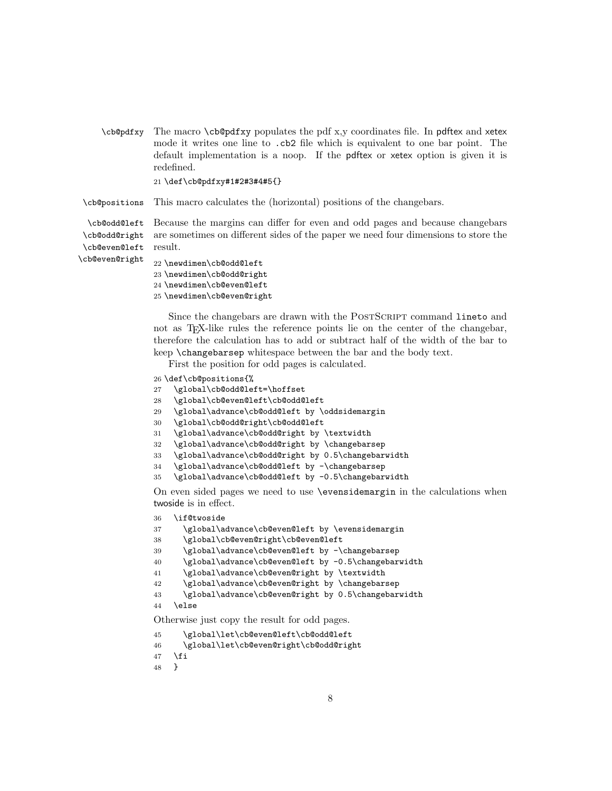\cb@pdfxy The macro \cb@pdfxy populates the pdf x,y coordinates file. In pdftex and xetex mode it writes one line to .cb2 file which is equivalent to one bar point. The default implementation is a noop. If the pdftex or xetex option is given it is redefined.

```
21 \def\cb@pdfxy#1#2#3#4#5{}
```
\cb@positions This macro calculates the (horizontal) positions of the changebars.

\cb@odd@left \cb@odd@right Because the margins can differ for even and odd pages and because changebars are sometimes on different sides of the paper we need four dimensions to store the result.

\cb@even@left \cb@even@right

```
22 \newdimen\cb@odd@left
23 \newdimen\cb@odd@right
24 \newdimen\cb@even@left
```
25 \newdimen\cb@even@right

Since the changebars are drawn with the POSTSCRIPT command lineto and not as TEX-like rules the reference points lie on the center of the changebar, therefore the calculation has to add or subtract half of the width of the bar to keep \changebarsep whitespace between the bar and the body text.

First the position for odd pages is calculated.

- 26 \def\cb@positions{%
- 27 \global\cb@odd@left=\hoffset
- 28 \global\cb@even@left\cb@odd@left
- 29 \global\advance\cb@odd@left by \oddsidemargin
- 30 \global\cb@odd@right\cb@odd@left
- 31 \global\advance\cb@odd@right by \textwidth
- 32 \global\advance\cb@odd@right by \changebarsep
- 33 \global\advance\cb@odd@right by 0.5\changebarwidth
- 34 \global\advance\cb@odd@left by -\changebarsep
- 35 \global\advance\cb@odd@left by -0.5\changebarwidth

On even sided pages we need to use \evensidemargin in the calculations when twoside is in effect.

36 \if@twoside

```
37 \global\advance\cb@even@left by \evensidemargin
```
- 38 \global\cb@even@right\cb@even@left
- 39 \global\advance\cb@even@left by -\changebarsep
- 40 \global\advance\cb@even@left by -0.5\changebarwidth
- 41 \global\advance\cb@even@right by \textwidth
- 42 \global\advance\cb@even@right by \changebarsep
- 43 \global\advance\cb@even@right by 0.5\changebarwidth
- 44 \else

Otherwise just copy the result for odd pages.

- 45 \global\let\cb@even@left\cb@odd@left
- 46 \global\let\cb@even@right\cb@odd@right
- $47$  \fi
- 48 }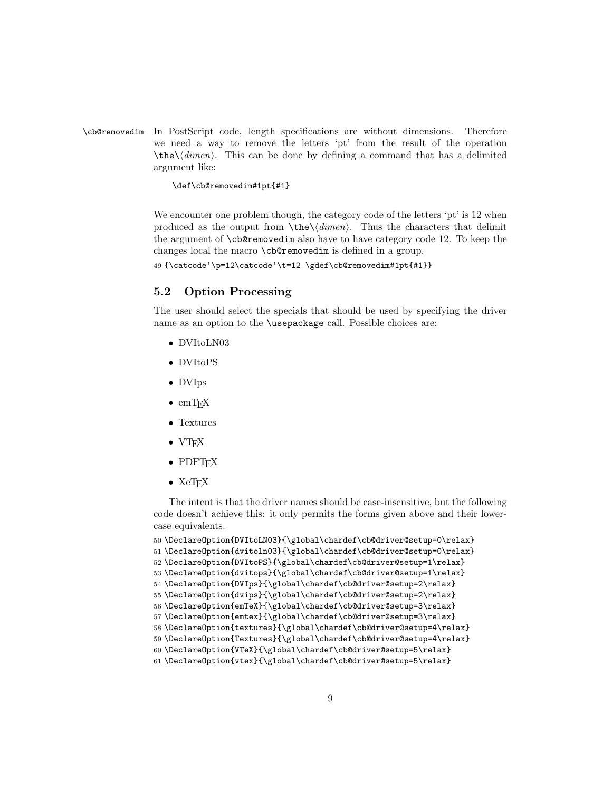\cb@removedim In PostScript code, length specifications are without dimensions. Therefore we need a way to remove the letters 'pt' from the result of the operation  $\theta\cdot\delta$ . This can be done by defining a command that has a delimited argument like:

#### \def\cb@removedim#1pt{#1}

We encounter one problem though, the category code of the letters 'pt' is 12 when produced as the output from  $\theta\$ <sup>'</sup> Thus the characters that delimit the argument of \cb@removedim also have to have category code 12. To keep the changes local the macro \cb@removedim is defined in a group.

49 {\catcode'\p=12\catcode'\t=12 \gdef\cb@removedim#1pt{#1}}

## 5.2 Option Processing

The user should select the specials that should be used by specifying the driver name as an option to the \usepackage call. Possible choices are:

- DVItoLN03
- DVItoPS
- DVIps
- $\bullet$  emT<sub>F</sub>X
- Textures
- VTEX
- PDFT<sub>F</sub>X
- $\bullet$  XeT<sub>F</sub>X

The intent is that the driver names should be case-insensitive, but the following code doesn't achieve this: it only permits the forms given above and their lowercase equivalents.

```
50 \DeclareOption{DVItoLN03}{\global\chardef\cb@driver@setup=0\relax}
51 \DeclareOption{dvitoln03}{\global\chardef\cb@driver@setup=0\relax}
52 \DeclareOption{DVItoPS}{\global\chardef\cb@driver@setup=1\relax}
53 \DeclareOption{dvitops}{\global\chardef\cb@driver@setup=1\relax}
54 \DeclareOption{DVIps}{\global\chardef\cb@driver@setup=2\relax}
55 \DeclareOption{dvips}{\global\chardef\cb@driver@setup=2\relax}
56 \DeclareOption{emTeX}{\global\chardef\cb@driver@setup=3\relax}
57 \DeclareOption{emtex}{\global\chardef\cb@driver@setup=3\relax}
58 \DeclareOption{textures}{\global\chardef\cb@driver@setup=4\relax}
59 \DeclareOption{Textures}{\global\chardef\cb@driver@setup=4\relax}
60 \DeclareOption{VTeX}{\global\chardef\cb@driver@setup=5\relax}
61 \DeclareOption{vtex}{\global\chardef\cb@driver@setup=5\relax}
```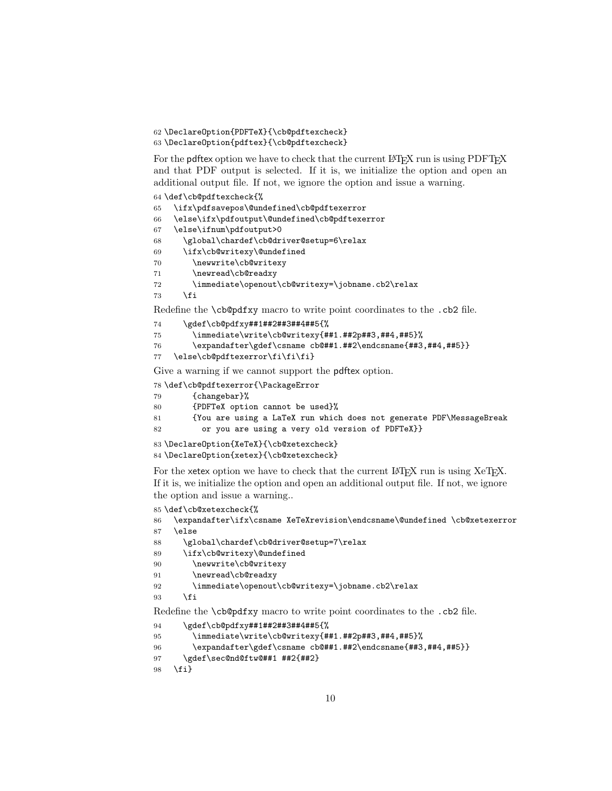```
62 \DeclareOption{PDFTeX}{\cb@pdftexcheck}
63 \DeclareOption{pdftex}{\cb@pdftexcheck}
```
For the pdftex option we have to check that the current LATEX run is using PDFTEX and that PDF output is selected. If it is, we initialize the option and open an additional output file. If not, we ignore the option and issue a warning.

```
64 \def\cb@pdftexcheck{%
65 \ifx\pdfsavepos\@undefined\cb@pdftexerror
66 \else\ifx\pdfoutput\@undefined\cb@pdftexerror
67 \else\ifnum\pdfoutput>0
68 \global\chardef\cb@driver@setup=6\relax
69 \ifx\cb@writexy\@undefined
70 \newwrite\cb@writexy
71 \newread\cb@readxy
72 \immediate\openout\cb@writexy=\jobname.cb2\relax
73 \fi
```
Redefine the \cb@pdfxy macro to write point coordinates to the .cb2 file.

```
74 \gdef\cb@pdfxy##1##2##3##4##5{%
75 \immediate\write\cb@writexy{##1.##2p##3,##4,##5}%
76 \expandafter\gdef\csname cb@##1.##2\endcsname{##3,##4,##5}}
```

```
77 \else\cb@pdftexerror\fi\fi\fi}
```
Give a warning if we cannot support the pdftex option.

\def\cb@pdftexerror{\PackageError

```
79 {changebar}%
```

```
80 {PDFTeX option cannot be used}%
```
{You are using a LaTeX run which does not generate PDF\MessageBreak

```
82 or you are using a very old version of PDFTeX}}
```

```
83 \DeclareOption{XeTeX}{\cb@xetexcheck}
84 \DeclareOption{xetex}{\cb@xetexcheck}
```
For the xetex option we have to check that the current LAT<sub>EX</sub> run is using XeT<sub>EX</sub>. If it is, we initialize the option and open an additional output file. If not, we ignore the option and issue a warning..

```
85 \def\cb@xetexcheck{%
86 \expandafter\ifx\csname XeTeXrevision\endcsname\@undefined \cb@xetexerror
87 \else
88 \global\chardef\cb@driver@setup=7\relax
89 \ifx\cb@writexy\@undefined
90 \newwrite\cb@writexy
91 \newread\cb@readxy
92 \immediate\openout\cb@writexy=\jobname.cb2\relax
93 \fi
Redefine the \cb@pdfxy macro to write point coordinates to the .cb2 file.
```

```
94 \gdef\cb@pdfxy##1##2##3##4##5{%
```

```
95 \immediate\write\cb@writexy{##1.##2p##3,##4,##5}%
```

```
96 \expandafter\gdef\csname cb@##1.##2\endcsname{##3,##4,##5}}
```

```
97 \gdef\sec@nd@ftw@##1 ##2{##2}
```

```
98 \fi}
```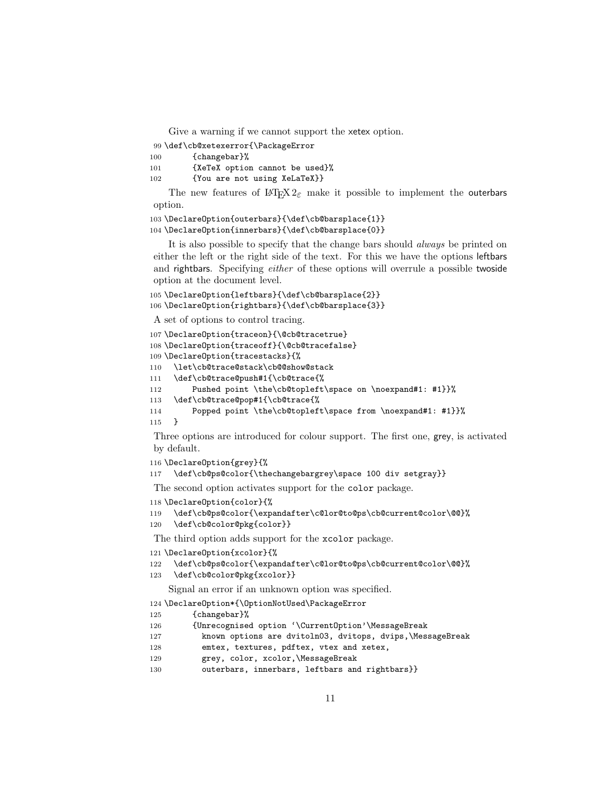Give a warning if we cannot support the xetex option.

```
99 \def\cb@xetexerror{\PackageError
```
100 {changebar}%

```
101 {XeTeX option cannot be used}%
```

```
102 {You are not using XeLaTeX}}
```
The new features of  $L^2F_X^2 \mathcal{L}_\varepsilon$  make it possible to implement the outerbars option.

```
103 \DeclareOption{outerbars}{\def\cb@barsplace{1}}
```

```
104 \DeclareOption{innerbars}{\def\cb@barsplace{0}}
```
It is also possible to specify that the change bars should always be printed on either the left or the right side of the text. For this we have the options leftbars and rightbars. Specifying *either* of these options will overrule a possible twoside option at the document level.

\DeclareOption{leftbars}{\def\cb@barsplace{2}}

```
106 \DeclareOption{rightbars}{\def\cb@barsplace{3}}
```
A set of options to control tracing.

```
107 \DeclareOption{traceon}{\@cb@tracetrue}
108 \DeclareOption{traceoff}{\@cb@tracefalse}
109 \DeclareOption{tracestacks}{%
110 \let\cb@trace@stack\cb@@show@stack
111 \def\cb@trace@push#1{\cb@trace{%
112 Pushed point \the\cb@topleft\space on \noexpand#1: #1}}%
113 \def\cb@trace@pop#1{\cb@trace{%
114 Popped point \the\cb@topleft\space from \noexpand#1: #1}}%
115 }
```
Three options are introduced for colour support. The first one, grey, is activated by default.

```
116 \DeclareOption{grey}{%
```

```
117 \def\cb@ps@color{\thechangebargrey\space 100 div setgray}}
```
The second option activates support for the color package.

```
118 \DeclareOption{color}{%
```

```
119 \def\cb@ps@color{\expandafter\c@lor@to@ps\cb@current@color\@@}%
```
\def\cb@color@pkg{color}}

The third option adds support for the xcolor package.

```
121 \DeclareOption{xcolor}{%
```

```
122 \def\cb@ps@color{\expandafter\c@lor@to@ps\cb@current@color\@@}%
```
\def\cb@color@pkg{xcolor}}

```
Signal an error if an unknown option was specified.
```
\DeclareOption\*{\OptionNotUsed\PackageError

```
125 {changebar}%
```

```
126 {Unrecognised option '\CurrentOption'\MessageBreak
```
- known options are dvitoln03, dvitops, dvips,\MessageBreak
- emtex, textures, pdftex, vtex and xetex,
- grey, color, xcolor,\MessageBreak
- 130 outerbars, innerbars, leftbars and rightbars}}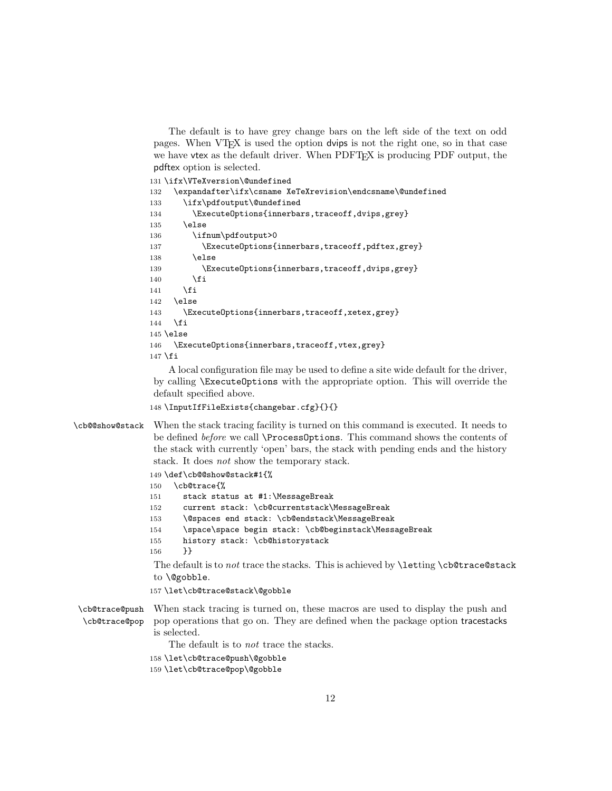The default is to have grey change bars on the left side of the text on odd pages. When VTEX is used the option dvips is not the right one, so in that case we have vtex as the default driver. When PDFT<sub>EX</sub> is producing PDF output, the pdftex option is selected.

```
131 \ifx\VTeXversion\@undefined
132 \expandafter\ifx\csname XeTeXrevision\endcsname\@undefined
133 \ifx\pdfoutput\@undefined
134 \ExecuteOptions{innerbars,traceoff,dvips,grey}
135 \else
136 \ifnum\pdfoutput>0
137 \ExecuteOptions{innerbars,traceoff,pdftex,grey}
138 \else
139 \ExecuteOptions{innerbars,traceoff,dvips,grey}
140 \fi
141 \fi
142 \else
143 \ExecuteOptions{innerbars,traceoff,xetex,grey}
144 \fi
145 \else
146 \ExecuteOptions{innerbars,traceoff, vtex, grey}
147 \fi
```
A local configuration file may be used to define a site wide default for the driver, by calling \ExecuteOptions with the appropriate option. This will override the default specified above.

```
148 \InputIfFileExists{changebar.cfg}{}{}
```

```
\cb@@show@stack When the stack tracing facility is turned on this command is executed. It needs to
                 be defined before we call \ProcessOptions. This command shows the contents of
                 the stack with currently 'open' bars, the stack with pending ends and the history
                 stack. It does not show the temporary stack.
```

```
149 \def\cb@@show@stack#1{%
```

```
150 \cb@trace{%
151 stack status at #1:\MessageBreak
152 current stack: \cb@currentstack\MessageBreak
153 \@spaces end stack: \cb@endstack\MessageBreak
154 \space\space begin stack: \cb@beginstack\MessageBreak
155 history stack: \cb@historystack
156 }}
The default is to not trace the stacks. This is achieved by \letting \cb@trace@stack
to \@gobble.
157 \let\cb@trace@stack\@gobble
When stack tracing is turned on, these macros are used to display the push and
```
\cb@trace@push \cb@trace@pop pop operations that go on. They are defined when the package option tracestacks is selected.

The default is to not trace the stacks.

158 \let\cb@trace@push\@gobble

```
159 \let\cb@trace@pop\@gobble
```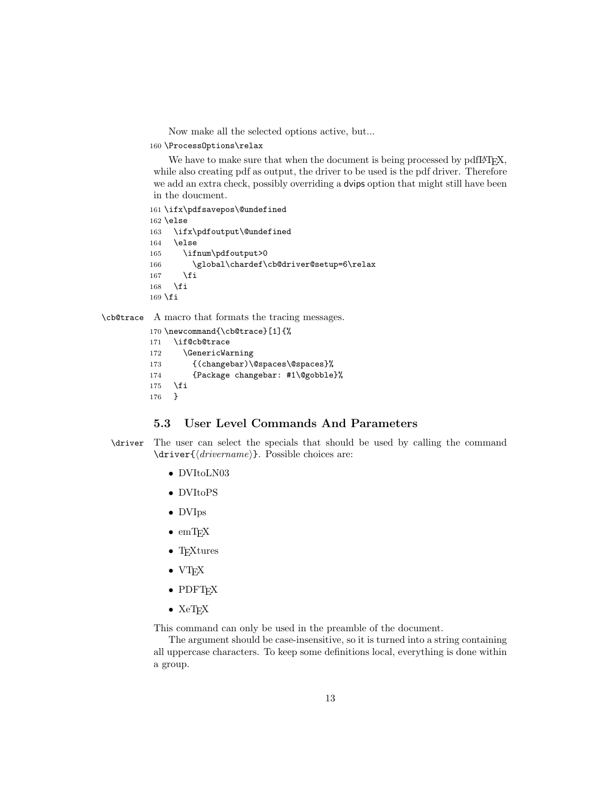Now make all the selected options active, but...

160 \ProcessOptions\relax

We have to make sure that when the document is being processed by pdfL<sup>AT</sup>EX, while also creating pdf as output, the driver to be used is the pdf driver. Therefore we add an extra check, possibly overriding a dvips option that might still have been in the doucment.

```
161 \ifx\pdfsavepos\@undefined
162 \else
163 \ifx\pdfoutput\@undefined
164 \else
165 \ifnum\pdfoutput>0
166 \global\chardef\cb@driver@setup=6\relax
167 \fi
168 \fi
169 \fi
```
\cb@trace A macro that formats the tracing messages.

```
170 \newcommand{\cb@trace}[1]{%
171 \if@cb@trace
172 \GenericWarning
173 {(changebar)\@spaces\@spaces}%
174 {Package changebar: #1\@gobble}%
175 \overline{175} \overline{176} }
176
```
## 5.3 User Level Commands And Parameters

```
\driver The user can select the specials that should be used by calling the command
         \driver{⟨drivername⟩}. Possible choices are:
```
- DVItoLN03
- DVItoPS
- DVIps
- $\bullet$  emT<sub>F</sub>X
- T<sub>F</sub>Xtures
- VTEX
- PDFT<sub>E</sub>X
- $\bullet$  XeT<sub>E</sub>X

This command can only be used in the preamble of the document.

The argument should be case-insensitive, so it is turned into a string containing all uppercase characters. To keep some definitions local, everything is done within a group.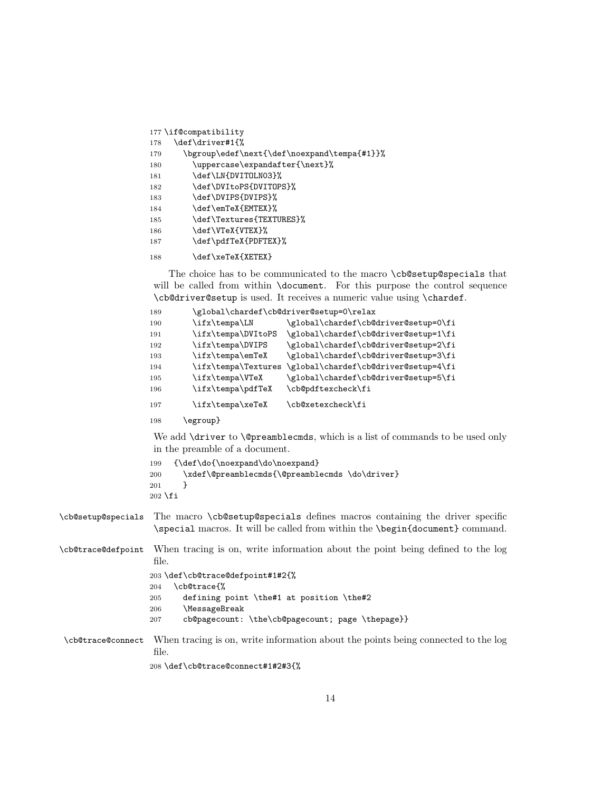```
177 \if@compatibility
178 \def\driver#1{%
179 \bgroup\edef\next{\def\noexpand\tempa{#1}}%
180 \uppercase\expandafter{\next}%
181 \def\LN{DVITOLN03}%
182 \def\DVItoPS{DVITOPS}%
183 \def\DVIPS{DVIPS}%
184 \def\emTeX{EMTEX}%
185 \def\Textures{TEXTURES}%
186 \def\VTeX{VTEX}%
187 \def\pdfTeX{PDFTEX}%
188 \def\xeTeX{XETEX}
```
The choice has to be communicated to the macro \cb@setup@specials that will be called from within **\document**. For this purpose the control sequence \cb@driver@setup is used. It receives a numeric value using \chardef.

```
189 \global\chardef\cb@driver@setup=0\relax
190 \ifx\tempa\LN \global\chardef\cb@driver@setup=0\fi
191 \ifx\tempa\DVItoPS \global\chardef\cb@driver@setup=1\fi
192 \ifx\tempa\DVIPS \global\chardef\cb@driver@setup=2\fi
193 \ifx\tempa\emTeX \global\chardef\cb@driver@setup=3\fi
194 \ifx\tempa\Textures \global\chardef\cb@driver@setup=4\fi
195 \ifx\tempa\VTeX \global\chardef\cb@driver@setup=5\fi
196 \ifx\tempa\pdfTeX \cb@pdftexcheck\fi
197 \ifx\tempa\xeTeX \cb@xetexcheck\fi
```
198 \egroup}

We add **\driver** to **\@preamblecmds**, which is a list of commands to be used only in the preamble of a document.

```
199 {\def\do{\noexpand\do\noexpand}
200 \xdef\@preamblecmds{\@preamblecmds \do\driver}
201 }
202 \fi
```
\cb@setup@specials The macro \cb@setup@specials defines macros containing the driver specific \special macros. It will be called from within the \begin{document} command.

\cb@trace@defpoint When tracing is on, write information about the point being defined to the log file.

```
203 \def\cb@trace@defpoint#1#2{%
204 \cb@trace{%
205 defining point \the#1 at position \the#2
206 \MessageBreak
207 cb@pagecount: \the\cb@pagecount; page \thepage}}
```
\cb@trace@connect When tracing is on, write information about the points being connected to the log file.

208 \def\cb@trace@connect#1#2#3{%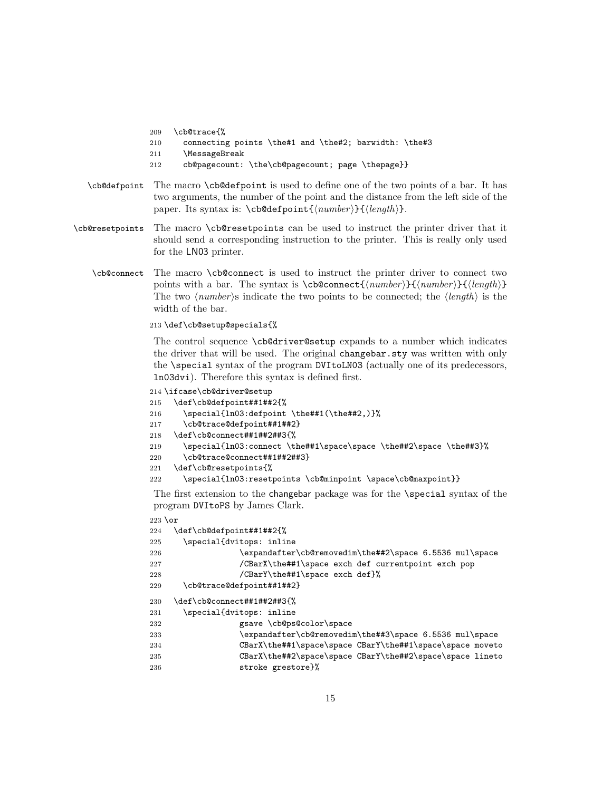- 209 \cb@trace{%
- 210 connecting points \the#1 and \the#2; barwidth: \the#3
- 211 \MessageBreak
- 212 cb@pagecount: \the\cb@pagecount; page \thepage}}
- \cb@defpoint The macro \cb@defpoint is used to define one of the two points of a bar. It has two arguments, the number of the point and the distance from the left side of the paper. Its syntax is:  $\c{b@defpoint{\langle number \rbrace}{\langle length \rangle}.$
- \cb@resetpoints The macro \cb@resetpoints can be used to instruct the printer driver that it should send a corresponding instruction to the printer. This is really only used for the LN03 printer.
	- \cb@connect The macro \cb@connect is used to instruct the printer driver to connect two points with a bar. The syntax is  $\cb$ @connect{ $\langle number \rangle$ }{ $\langle number \rangle$ }{ $\langle length \rangle$ } The two  $\langle number \rangle$ s indicate the two points to be connected; the  $\langle length \rangle$  is the width of the bar.

213 \def\cb@setup@specials{%

The control sequence \cb@driver@setup expands to a number which indicates the driver that will be used. The original changebar.sty was written with only the \special syntax of the program DVItoLN03 (actually one of its predecessors, ln03dvi). Therefore this syntax is defined first.

```
214 \ifcase\cb@driver@setup
```

```
215 \def\cb@defpoint##1##2{%
```

```
216 \special{ln03:defpoint \the##1(\the##2,)}%
```
- 217 \cb@trace@defpoint##1##2}
- 218 \def\cb@connect##1##2##3{%

```
219 \special{ln03:connect \the##1\space\space \the##2\space \the##3}%
```

```
220 \cb@trace@connect##1##2##3}
```
- 221 \def\cb@resetpoints{%
- 222 \special{ln03:resetpoints \cb@minpoint \space\cb@maxpoint}}

The first extension to the changebar package was for the \special syntax of the program DVItoPS by James Clark.

```
223 \text{ or}224 \def\cb@defpoint##1##2{%
225 \special{dvitops: inline
226 \expandafter\cb@removedim\the##2\space 6.5536 mul\space
227 /CBarX\the##1\space exch def currentpoint exch pop
228 /CBarY\the##1\space exch def}%
229 \cb@trace@defpoint##1##2}
230 \def\cb@connect##1##2##3{%
231 \special{dvitops: inline
232 gsave \cb@ps@color\space
233 \expandafter\cb@removedim\the##3\space 6.5536 mul\space
234 CBarX\the##1\space\space CBarY\the##1\space\space moveto
235 CBarX\the##2\space\space CBarY\the##2\space\space lineto
236 stroke grestore}%
```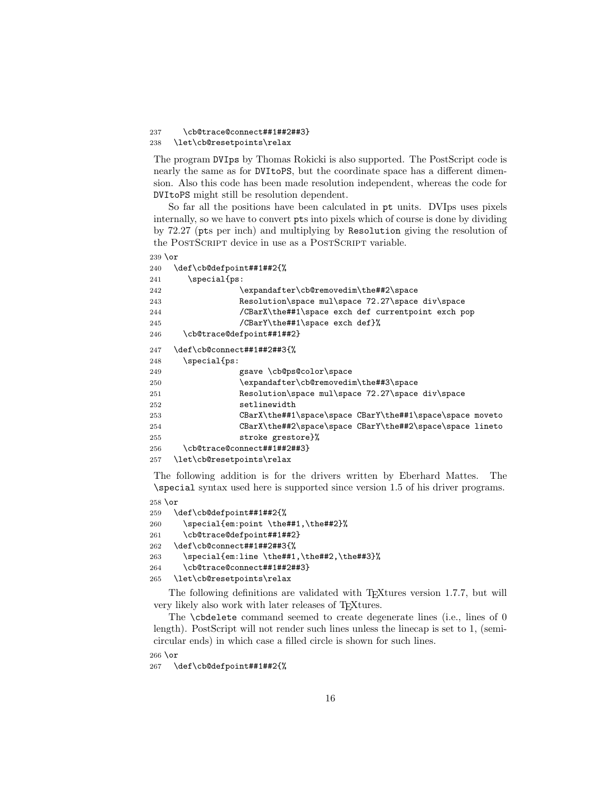#### 237 \cb@trace@connect##1##2##3} 238 \let\cb@resetpoints\relax

The program DVIps by Thomas Rokicki is also supported. The PostScript code is nearly the same as for DVItoPS, but the coordinate space has a different dimension. Also this code has been made resolution independent, whereas the code for DVItoPS might still be resolution dependent.

So far all the positions have been calculated in pt units. DVIps uses pixels internally, so we have to convert pts into pixels which of course is done by dividing by 72.27 (pts per inch) and multiplying by Resolution giving the resolution of the POSTSCRIPT device in use as a POSTSCRIPT variable.

```
239 \text{ or}240 \def\cb@defpoint##1##2{%
241 \special{ps:
242 \expandafter\cb@removedim\the##2\space
243 Resolution\space mul\space 72.27\space div\space
244 /CBarX\the##1\space exch def currentpoint exch pop
245 /CBarY\the##1\space exch def}%
246 \cb@trace@defpoint##1##2}
247 \def\cb@connect##1##2##3{%
248 \special{ps:
249 gsave \cb@ps@color\space
250 \expandafter\cb@removedim\the##3\space
251 Resolution\space mul\space 72.27\space div\space
252 setlinewidth
253 CBarX\the##1\space\space CBarY\the##1\space\space moveto
254 CBarX\the##2\space\space CBarY\the##2\space\space lineto
255 stroke grestore}%
256 \cb@trace@connect##1##2##3}
257 \let\cb@resetpoints\relax
```
The following addition is for the drivers written by Eberhard Mattes. The \special syntax used here is supported since version 1.5 of his driver programs.

```
258 \or
259 \def\cb@defpoint##1##2{%
260 \special{em:point \the##1,\the##2}%
261 \cb@trace@defpoint##1##2}
262 \def\cb@connect##1##2##3{%
263 \special{em:line \the##1,\the##2,\the##3}%
264 \cb@trace@connect##1##2##3}
265 \let\cb@resetpoints\relax
```
The following definitions are validated with T<sub>E</sub>Xtures version 1.7.7, but will very likely also work with later releases of T<sub>E</sub>Xtures.

The \cbdelete command seemed to create degenerate lines (i.e., lines of 0 length). PostScript will not render such lines unless the linecap is set to 1, (semicircular ends) in which case a filled circle is shown for such lines.

 $266 \text{ or}$ 

267 \def\cb@defpoint##1##2{%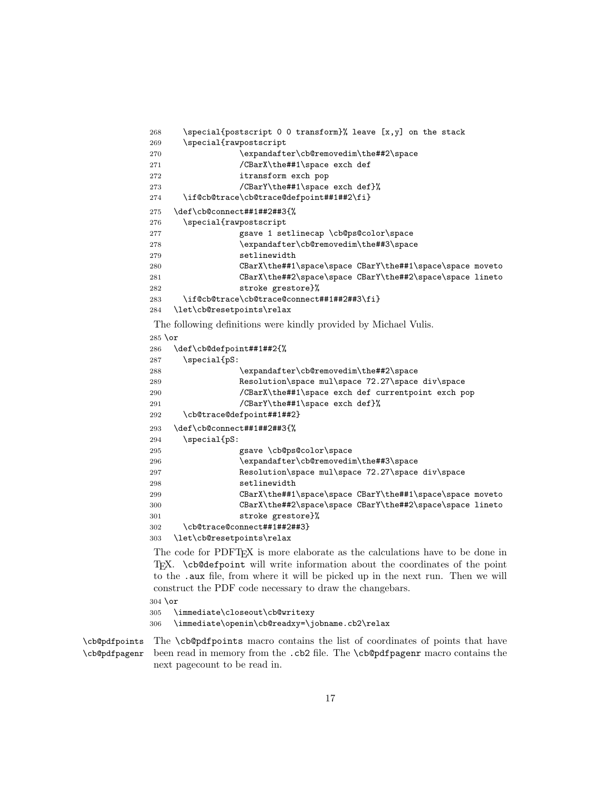```
268 \special{postscript 0 0 transform}% leave [x,y] on the stack
269 \special{rawpostscript
270 \expandafter\cb@removedim\the##2\space
271 /CBarX\the##1\space exch def
272 itransform exch pop
273 /CBarY\the##1\space exch def}%
274 \if@cb@trace\cb@trace@defpoint##1##2\fi}
275 \def\cb@connect##1##2##3{%
276 \special{rawpostscript
277 gsave 1 setlinecap \cb@ps@color\space
278 \expandafter\cb@removedim\the##3\space
279 setlinewidth
280 CBarX\the##1\space\space CBarY\the##1\space\space moveto
281 CBarX\the##2\space\space CBarY\the##2\space\space lineto
282 stroke grestore}%
283 \if@cb@trace\cb@trace@connect##1##2##3\fi}
284 \let\cb@resetpoints\relax
```
The following definitions were kindly provided by Michael Vulis.

```
285 \or
```

```
286 \def\cb@defpoint##1##2{%
287 \special{pS:
288 \expandafter\cb@removedim\the##2\space
289 Resolution\space mul\space 72.27\space div\space
290 /CBarX\the##1\space exch def currentpoint exch pop
291 /CBarY\the##1\space exch def}%
292 \cb@trace@defpoint##1##2}
293 \def\cb@connect##1##2##3{%
294 \special{pS:
295 gsave \cb@ps@color\space
296 \expandafter\cb@removedim\the##3\space
297 Resolution\space mul\space 72.27\space div\space
298 setlinewidth
299 CBarX\the##1\space\space CBarY\the##1\space\space moveto
300 CBarX\the##2\space\space CBarY\the##2\space\space lineto
301 stroke grestore}%
302 \cb@trace@connect##1##2##3}
303 \let\cb@resetpoints\relax
```
The code for PDFTEX is more elaborate as the calculations have to be done in TEX. \cb@defpoint will write information about the coordinates of the point to the .aux file, from where it will be picked up in the next run. Then we will construct the PDF code necessary to draw the changebars.

 $304 \text{ or}$ 

305 \immediate\closeout\cb@writexy 306 \immediate\openin\cb@readxy=\jobname.cb2\relax

\cb@pdfpoints \cb@pdfpagenr The \cb@pdfpoints macro contains the list of coordinates of points that have been read in memory from the .cb2 file. The \cb@pdfpagenr macro contains the next pagecount to be read in.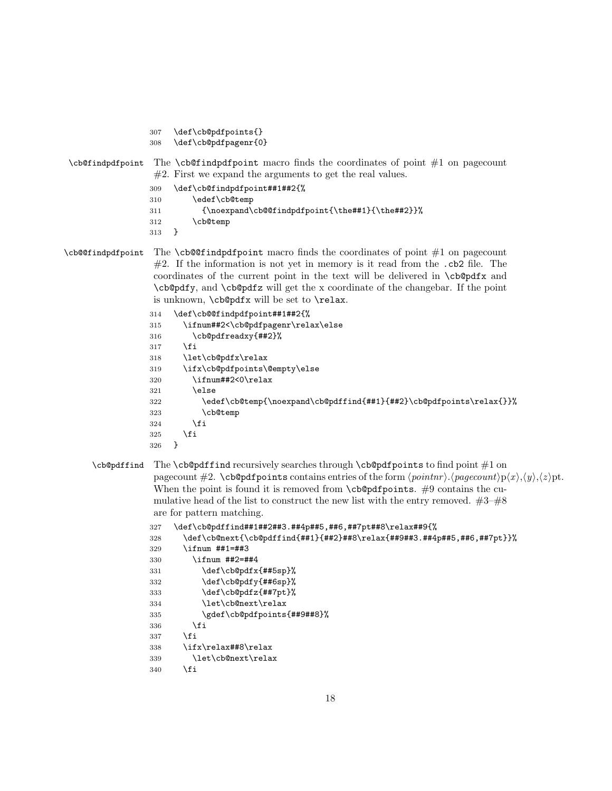- 307 \def\cb@pdfpoints{}
- 308 \def\cb@pdfpagenr{0}

## $\c{bC}$  \cb@findpdfpoint macro finds the coordinates of point  $\#1$  on pagecount  $#2.$  First we expand the arguments to get the real values.

- 309 \def\cb@findpdfpoint##1##2{%
- 310 \edef\cb@temp
- 311 {\noexpand\cb@@findpdfpoint{\the##1}{\the##2}}%
- 312 \cb@temp
- 313 }
- \cb@@findpdfpoint The \cb@@findpdfpoint macro finds the coordinates of point #1 on pagecount  $#2$ . If the information is not yet in memory is it read from the  $.cb2$  file. The coordinates of the current point in the text will be delivered in \cb@pdfx and \cb@pdfy, and \cb@pdfz will get the x coordinate of the changebar. If the point is unknown, \cb@pdfx will be set to \relax.

```
314 \def\cb@@findpdfpoint##1##2{%
315 \ifnum##2<\cb@pdfpagenr\relax\else
316 \cb@pdfreadxy{##2}%
317 \fi
318 \let\cb@pdfx\relax
319 \ifx\cb@pdfpoints\@empty\else
320 \ifnum##2<0\relax
321 \else
322 \edef\cb@temp{\noexpand\cb@pdffind{##1}{##2}\cb@pdfpoints\relax{}}%
323 \cb@temp
324 \fi
325 \fi
326 }
```
\cb@pdffind The \cb@pdffind recursively searches through \cb@pdfpoints to find point #1 on pagecount  $\#2$ . \cb@pdfpoints contains entries of the form  $\langle pointnr \rangle$ . $\langle pagecount \rangle p\langle x \rangle$ , $\langle y \rangle$ , $\langle z \rangle pt$ . When the point is found it is removed from  $\c{b\Phi}$  points. #9 contains the cumulative head of the list to construct the new list with the entry removed.  $#3-\#8$ are for pattern matching.

```
327 \def\cb@pdffind##1##2##3.##4p##5,##6,##7pt##8\relax##9{%
328 \def\cb@next{\cb@pdffind{##1}{##2}##8\relax{##9##3.##4p##5,##6,##7pt}}%
329 \ifnum ##1=##3
330 \ifnum ##2=##4
331 \def\cb@pdfx{##5sp}%
332 \def\cb@pdfy{##6sp}%
333 \def\cb@pdfz{##7pt}%
334 \let\cb@next\relax
335 \gdef\cb@pdfpoints{##9##8}%
336 \fi
337 \fi
338 \ifx\relax##8\relax
339 \let\cb@next\relax
340 \fi
```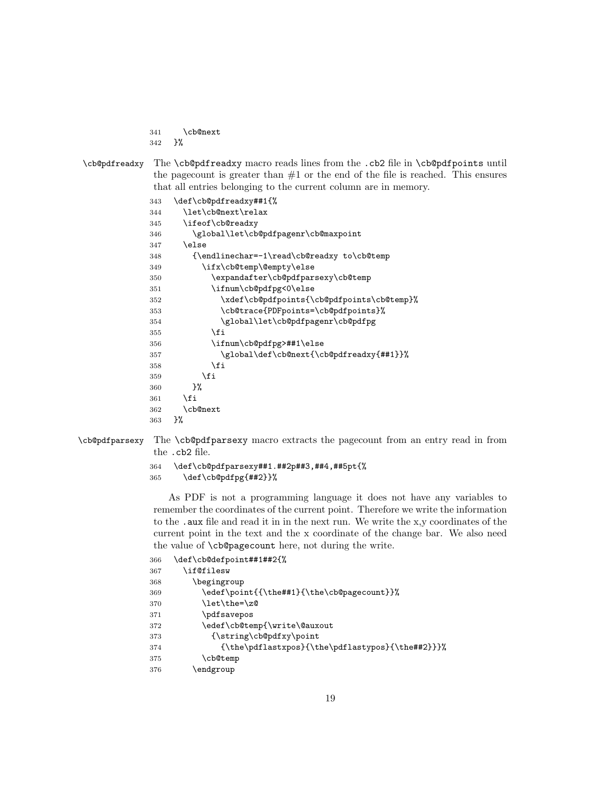- \cb@next }%
- 

\cb@pdfreadxy The \cb@pdfreadxy macro reads lines from the .cb2 file in \cb@pdfpoints until the pagecount is greater than  $#1$  or the end of the file is reached. This ensures that all entries belonging to the current column are in memory.

```
343 \def\cb@pdfreadxy##1{%
344 \let\cb@next\relax
345 \ifeof\cb@readxy
346 \global\let\cb@pdfpagenr\cb@maxpoint
347 \else
348 {\endlinechar=-1\read\cb@readxy to\cb@temp
349 \ifx\cb@temp\@empty\else
350 \expandafter\cb@pdfparsexy\cb@temp
351 \ifnum\cb@pdfpg<0\else
352 \xdef\cb@pdfpoints{\cb@pdfpoints\cb@temp}%
353 \cb@trace{PDFpoints=\cb@pdfpoints}%
354 \global\let\cb@pdfpagenr\cb@pdfpg
355 \fi
356 \ifnum\cb@pdfpg>##1\else
357 \global\def\cb@next{\cb@pdfreadxy{##1}}%
358 \fi
359 \fi
360 }%
361 \fi
362 \cb@next
363 }%
```
\cb@pdfparsexy The \cb@pdfparsexy macro extracts the pagecount from an entry read in from the .cb2 file.

```
364 \def\cb@pdfparsexy##1.##2p##3,##4,##5pt{%
```

```
365 \def\cb@pdfpg{##2}}%
```
As PDF is not a programming language it does not have any variables to remember the coordinates of the current point. Therefore we write the information to the .aux file and read it in in the next run. We write the x,y coordinates of the current point in the text and the x coordinate of the change bar. We also need the value of \cb@pagecount here, not during the write.

| 366 | \def\cb@defpoint##1##2{%                         |
|-----|--------------------------------------------------|
| 367 | \if@filesw                                       |
| 368 | \begingroup                                      |
| 369 | \edef\point{{\the##1}{\the\cb@pagecount}}%       |
| 370 | \let\the=\z@                                     |
| 371 | \pdfsavepos                                      |
| 372 | \edef\cb@temp{\write\@auxout                     |
| 373 | {\string\cb@pdfxy\point                          |
| 374 | {\the\pdflastxpos}{\the\pdflastypos}{\the##2}}}% |
| 375 | \cb@temp                                         |
| 376 | endgroup)                                        |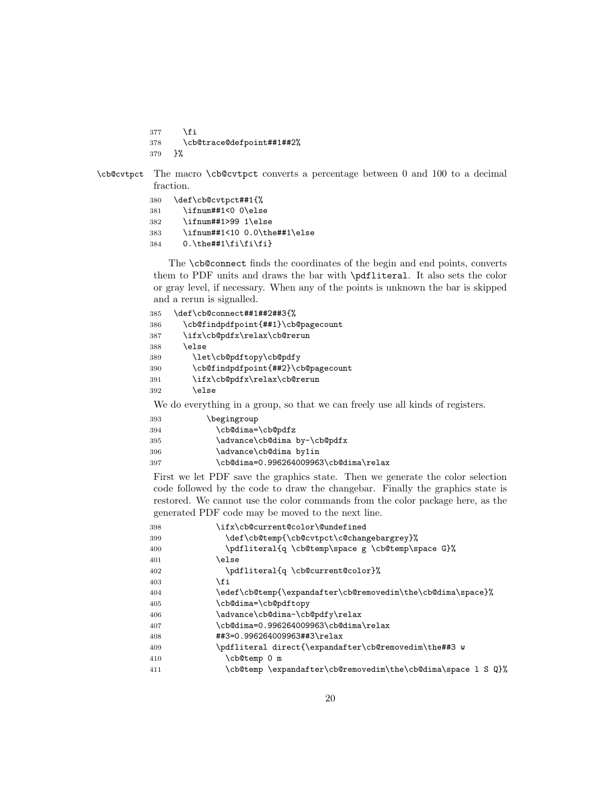377 \fi

```
378 \cb@trace@defpoint##1##2%
```
}%

\cb@cvtpct The macro \cb@cvtpct converts a percentage between 0 and 100 to a decimal fraction.

| 380 | \def\cb@cvtpct##1{%                |
|-----|------------------------------------|
| 381 | \ifnum##1<0 0\else                 |
| 382 | \ifnum##1>99 1\else                |
| 383 | \ifnum##1<10 0.0\the##1\else       |
| 384 | $0.\theta$ + 0.1 $\frac{4}{1}$ + 1 |

The **\cb@connect** finds the coordinates of the begin and end points, converts them to PDF units and draws the bar with \pdfliteral. It also sets the color or gray level, if necessary. When any of the points is unknown the bar is skipped and a rerun is signalled.

```
385 \def\cb@connect##1##2##3{%
386 \cb@findpdfpoint{##1}\cb@pagecount
387 \ifx\cb@pdfx\relax\cb@rerun
388 \else
389 \let\cb@pdftopy\cb@pdfy
390 \cb@findpdfpoint{##2}\cb@pagecount
391 \ifx\cb@pdfx\relax\cb@rerun
392 \else
```
We do everything in a group, so that we can freely use all kinds of registers.

| 393 | \begingroup                           |
|-----|---------------------------------------|
| 394 | \cb@dima=\cb@pdfz                     |
| 395 | \advance\cb@dima by-\cb@pdfx          |
| 396 | \advance\cb@dima by1in                |
| 397 | \cb@dima=0.996264009963\cb@dima\relax |
|     |                                       |

First we let PDF save the graphics state. Then we generate the color selection code followed by the code to draw the changebar. Finally the graphics state is restored. We cannot use the color commands from the color package here, as the generated PDF code may be moved to the next line.

| 398 | \ifx\cb@current@color\@undefined                             |
|-----|--------------------------------------------------------------|
| 399 | \def\cb@temp{\cb@cvtpct\c@changebargrey}%                    |
| 400 | \pdfliteral{q \cb@temp\space g \cb@temp\space G}%            |
| 401 | \else                                                        |
| 402 | \pdfliteral{q \cb@current@color}%                            |
| 403 | \fi                                                          |
| 404 | \edef\cb@temp{\expandafter\cb@removedim\the\cb@dima\space}%  |
| 405 | \cb@dima=\cb@pdftopy                                         |
| 406 | \advance\cb@dima-\cb@pdfy\relax                              |
| 407 | \cb@dima=0.996264009963\cb@dima\relax                        |
| 408 | ##3=0.996264009963##3\relax                                  |
| 409 | \pdfliteral direct{\expandafter\cb@removedim\the##3 w        |
| 410 | \cb@temp 0 m                                                 |
| 411 | \cb@temp \expandafter\cb@removedim\the\cb@dima\space 1 S Q}% |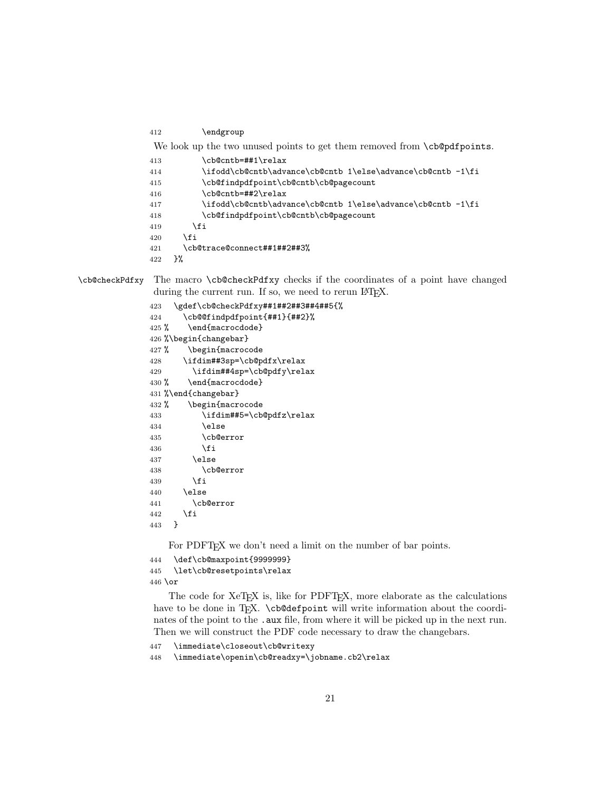\endgroup

```
We look up the two unused points to get them removed from \cb@pdfpoints.
```

| 413 | \cb@cntb=##1\relax                                          |
|-----|-------------------------------------------------------------|
| 414 | \ifodd\cb@cntb\advance\cb@cntb 1\else\advance\cb@cntb -1\fi |
| 415 | \cb@findpdfpoint\cb@cntb\cb@pagecount                       |
| 416 | \cb@cntb=##2\relax                                          |
| 417 | \ifodd\cb@cntb\advance\cb@cntb 1\else\advance\cb@cntb -1\fi |
| 418 | \cb@findpdfpoint\cb@cntb\cb@pagecount                       |
| 419 | \fi                                                         |
| 420 | \fi                                                         |
| 421 | \cb@trace@connect##1##2##3%                                 |
|     |                                                             |

}%

\cb@checkPdfxy The macro \cb@checkPdfxy checks if the coordinates of a point have changed during the current run. If so, we need to rerun LAT<sub>E</sub>X.

```
423 \gdef\cb@checkPdfxy##1##2##3##4##5{%
424 \cb@@findpdfpoint{##1}{##2}%
425 % \end{macrocdode}
426 %\begin{changebar}
427 % \begin{macrocode
428 \ifdim##3sp=\cb@pdfx\relax
429 \ifdim##4sp=\cb@pdfy\relax
430 % \end{macrocdode}
431 %\end{changebar}
432 % \begin{macrocode
433 \ifdim##5=\cb@pdfz\relax
434 \else
435 \cb@error
436 \fi
437 \else
438 \cb@error
439 \fi
440 \else
441 \cb@error
442 \fi
443 }
```
For PDFT<sub>F</sub>X we don't need a limit on the number of bar points.

```
444 \def\cb@maxpoint{9999999}
445 \let\cb@resetpoints\relax
446 \text{ or}
```
The code for XeTEX is, like for PDFTEX, more elaborate as the calculations have to be done in T<sub>EX</sub>. \cb@defpoint will write information about the coordinates of the point to the . aux file, from where it will be picked up in the next run. Then we will construct the PDF code necessary to draw the changebars.

```
447 \immediate\closeout\cb@writexy
```
\immediate\openin\cb@readxy=\jobname.cb2\relax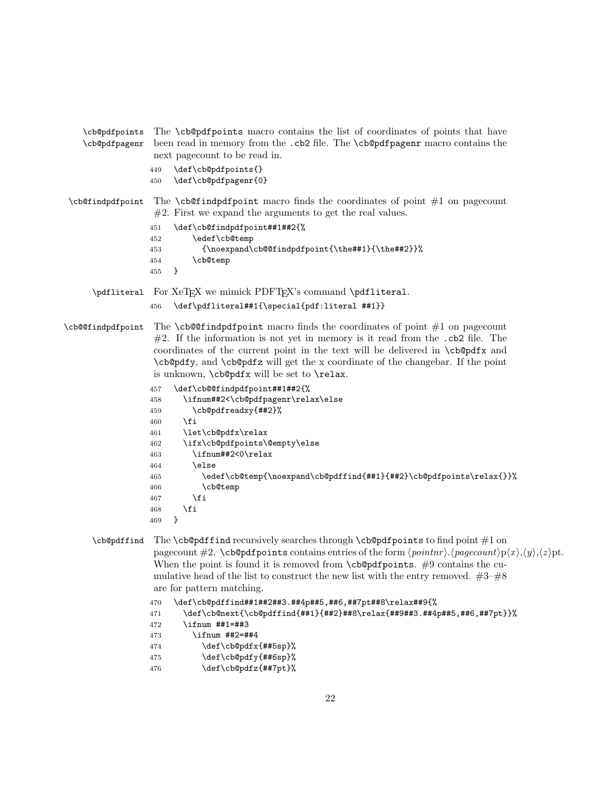\cb@pdfpoints \cb@pdfpagenr The \cb@pdfpoints macro contains the list of coordinates of points that have been read in memory from the .cb2 file. The \cb@pdfpagenr macro contains the next pagecount to be read in.

- 449 \def\cb@pdfpoints{}
- 450 \def\cb@pdfpagenr{0}

 $\c{bC}$  \cb@findpdfpoint macro finds the coordinates of point  $\#1$  on pagecount #2. First we expand the arguments to get the real values.

- 451 \def\cb@findpdfpoint##1##2{%
- 452 \edef\cb@temp
- 453 {\noexpand\cb@@findpdfpoint{\the##1}{\the##2}}%
- 454 \cb@temp
- 455 }
- \pdfliteral For XeTEX we mimick PDFTEX's command \pdfliteral.
	- 456 \def\pdfliteral##1{\special{pdf:literal ##1}}

 $\c{c}$  $#2$ . If the information is not yet in memory is it read from the  $.cb2$  file. The coordinates of the current point in the text will be delivered in \cb@pdfx and \cb@pdfy, and \cb@pdfz will get the x coordinate of the changebar. If the point is unknown, \cb@pdfx will be set to \relax.

```
457 \def\cb@@findpdfpoint##1##2{%
458 \ifnum##2<\cb@pdfpagenr\relax\else
459 \cb@pdfreadxy{##2}%
460 \fi
461 \let\cb@pdfx\relax
462 \ifx\cb@pdfpoints\@empty\else
463 \ifnum##2<0\relax
464 \text{le}465 \edef\cb@temp{\noexpand\cb@pdffind{##1}{##2}\cb@pdfpoints\relax{}}%
466 \cb@temp
467 \fi
468 \fi
469 }
```
\cb@pdffind The \cb@pdffind recursively searches through \cb@pdfpoints to find point #1 on pagecount  $\#2$ . \cb@pdfpoints contains entries of the form  $\langle pointnr \rangle$ . $\langle pagecount \rangle p\langle x \rangle$ , $\langle y \rangle$ , $\langle z \rangle pt$ . When the point is found it is removed from  $\cosh\theta$   $\cosh\theta$ . #9 contains the cumulative head of the list to construct the new list with the entry removed.  $#3-\#8$ are for pattern matching.

```
470 \def\cb@pdffind##1##2##3.##4p##5,##6,##7pt##8\relax##9{%
```

```
471 \def\cb@next{\cb@pdffind{##1}{##2}##8\relax{##9##3.##4p##5,##6,##7pt}}%
```
- 472 \ifnum ##1=##3
- 473 \ifnum ##2=##4
- $474$  \def\cb@pdfx{##5sp}%
- 475 \def\cb@pdfy{##6sp}%
- 476 \def\cb@pdfz{##7pt}%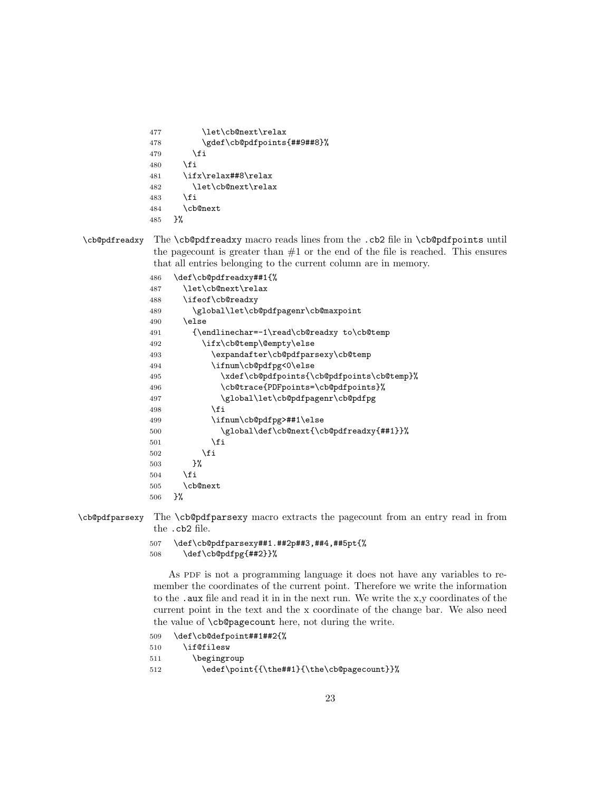```
477 \let\cb@next\relax
478 \gdef\cb@pdfpoints{##9##8}%
479 \fi
480 \fi
481 \ifx\relax##8\relax
482 \let\cb@next\relax
483 \fi
484 \cb@next
485 }%
```
\cb@pdfreadxy The \cb@pdfreadxy macro reads lines from the .cb2 file in \cb@pdfpoints until the pagecount is greater than  $#1$  or the end of the file is reached. This ensures that all entries belonging to the current column are in memory.

```
486 \def\cb@pdfreadxy##1{%
487 \let\cb@next\relax
488 \ifeof\cb@readxy
489 \global\let\cb@pdfpagenr\cb@maxpoint
490 \else
491 {\endlinechar=-1\read\cb@readxy to\cb@temp
492 \ifx\cb@temp\@empty\else
493 \expandafter\cb@pdfparsexy\cb@temp
494 \ifnum\cb@pdfpg<0\else
495 \xdef\cb@pdfpoints{\cb@pdfpoints\cb@temp}%
496 \cb@trace{PDFpoints=\cb@pdfpoints}%
497 \global\let\cb@pdfpagenr\cb@pdfpg
498 \fi
499 \ifnum\cb@pdfpg>##1\else
500 \global\def\cb@next{\cb@pdfreadxy{##1}}%
501 \setminusfi
502 \qquad \qquad \text{ifi}503 }%
504 \fi
505 \cb@next
506 }%
```
\cb@pdfparsexy The \cb@pdfparsexy macro extracts the pagecount from an entry read in from the .cb2 file.

```
507 \def\cb@pdfparsexy##1.##2p##3,##4,##5pt{%
508 \def\cb@pdfpg{##2}}%
```
As PDF is not a programming language it does not have any variables to remember the coordinates of the current point. Therefore we write the information to the .aux file and read it in in the next run. We write the x,y coordinates of the current point in the text and the x coordinate of the change bar. We also need the value of \cb@pagecount here, not during the write.

```
509 \def\cb@defpoint##1##2{%
510 \if@filesw
511 \begingroup
512 \edef\point{{\the##1}{\the\cb@pagecount}}%
```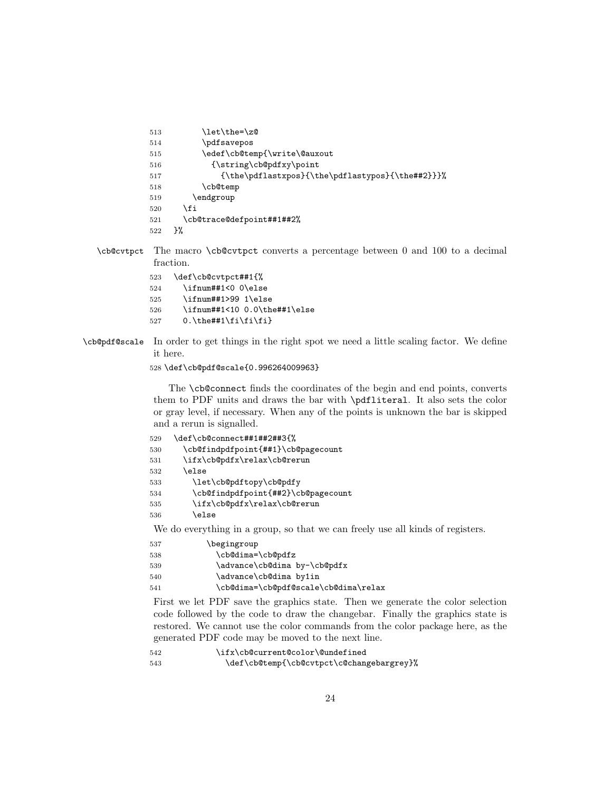```
513 \let\the=\z0514 \pdfsavepos
515 \edef\cb@temp{\write\@auxout
516 {\string\cb@pdfxy\point
517 {\the\pdflastxpos}{\the\pdflastypos}{\the##2}}}%
518 \cb@temp
519 \endgroup
520 \fi
521 \cb@trace@defpoint##1##2%
522 }%
```
\cb@cvtpct The macro \cb@cvtpct converts a percentage between 0 and 100 to a decimal fraction.

```
523 \def\cb@cvtpct##1{%
524 \ifnum##1<0 0\else
525 \ifnum##1>99 1\else
526 \ifnum##1<10 0.0\the##1\else
527 0.\the##1\fi\fi\fi}
```
\cb@pdf@scale In order to get things in the right spot we need a little scaling factor. We define it here.

```
528 \def\cb@pdf@scale{0.996264009963}
```
The **\cb@connect** finds the coordinates of the begin and end points, converts them to PDF units and draws the bar with \pdfliteral. It also sets the color or gray level, if necessary. When any of the points is unknown the bar is skipped and a rerun is signalled.

| 529 | \def\cb@connect##1##2##3{%         |  |
|-----|------------------------------------|--|
| 530 | \cb@findpdfpoint{##1}\cb@pagecount |  |
| 531 | \ifx\cb@pdfx\relax\cb@rerun        |  |
| 532 | \else                              |  |
| 533 | \let\cb@pdftopy\cb@pdfy            |  |
| 534 | \cb@findpdfpoint{##2}\cb@pagecount |  |
| 535 | \ifx\cb@pdfx\relax\cb@rerun        |  |
| 536 | \else                              |  |
|     |                                    |  |

We do everything in a group, so that we can freely use all kinds of registers.

| 537 | \begingroup                          |
|-----|--------------------------------------|
| 538 | \cb@dima=\cb@pdfz                    |
| 539 | \advance\cb@dima by-\cb@pdfx         |
| 540 | \advance\cb@dima by1in               |
| 541 | \cb@dima=\cb@pdf@scale\cb@dima\relax |
|     |                                      |

First we let PDF save the graphics state. Then we generate the color selection code followed by the code to draw the changebar. Finally the graphics state is restored. We cannot use the color commands from the color package here, as the generated PDF code may be moved to the next line.

```
542 \ifx\cb@current@color\@undefined
543 \def\cb@temp{\cb@cvtpct\c@changebargrey}%
```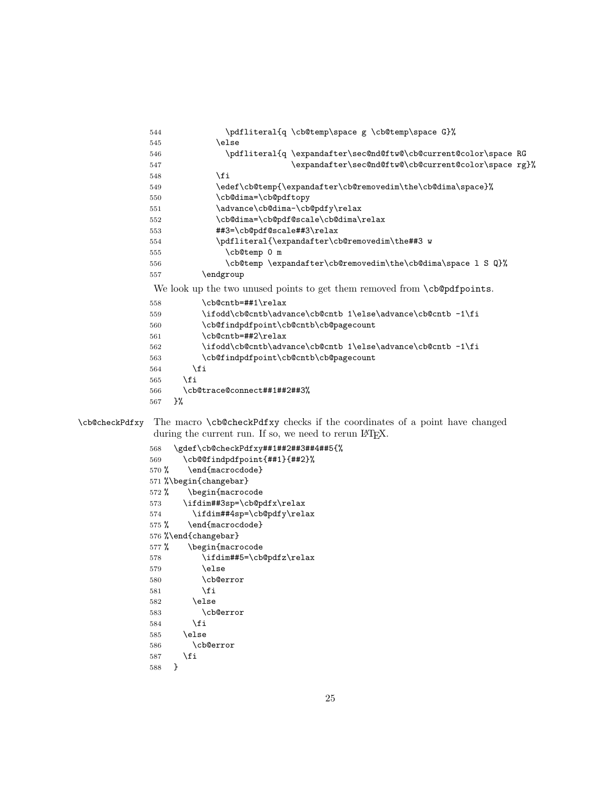```
544 \pdfliteral{q \cb@temp\space g \cb@temp\space G}%
545 \else
546 \pdfliteral{q \expandafter\sec@nd@ftw@\cb@current@color\space RG
547 \expandafter\sec@nd@ftw@\cb@current@color\space rg}%
548 \fi
549 \edef\cb@temp{\expandafter\cb@removedim\the\cb@dima\space}%
550 \cb@dima=\cb@pdftopy
551 \advance\cb@dima-\cb@pdfy\relax
552 \cb@dima=\cb@pdf@scale\cb@dima\relax
553 ##3=\cb@pdf@scale##3\relax
554 \pdfliteral{\expandafter\cb@removedim\the##3 w
555 \cb@temp 0 m
556 \cb@temp \expandafter\cb@removedim\the\cb@dima\space l S Q}%
557 \endgroup
We look up the two unused points to get them removed from \c{c} begodfpoints.
558 \cb@cntb=##1\relax
559 \ifodd\cb@cntb\advance\cb@cntb 1\else\advance\cb@cntb -1\fi
560 \cb@findpdfpoint\cb@cntb\cb@pagecount
561 \cb@cntb=##2\relax
562 \ifodd\cb@cntb\advance\cb@cntb 1\else\advance\cb@cntb -1\fi
563 \cb@findpdfpoint\cb@cntb\cb@pagecount
564 \fi
565 \fi
566 \cb@trace@connect##1##2##3%
567 }%
```
## \cb@checkPdfxy The macro \cb@checkPdfxy checks if the coordinates of a point have changed during the current run. If so, we need to rerun LAT<sub>E</sub>X.

```
568 \gdef\cb@checkPdfxy##1##2##3##4##5{%
569 \cb@@findpdfpoint{##1}{##2}%
570 % \end{macrocdode}
571 %\begin{changebar}
572 % \begin{macrocode
573 \ifdim##3sp=\cb@pdfx\relax
574 \ifdim##4sp=\cb@pdfy\relax
575 % \end{macrocdode}
576 %\end{changebar}
577 % \begin{macrocode
578 \ifdim##5=\cb@pdfz\relax
579 \else
580 \cb@error
581 \over \{5}582 \else
583 \cb@error
584 \fi
585 \else
586 \cb@error
587 \fi
588 }
```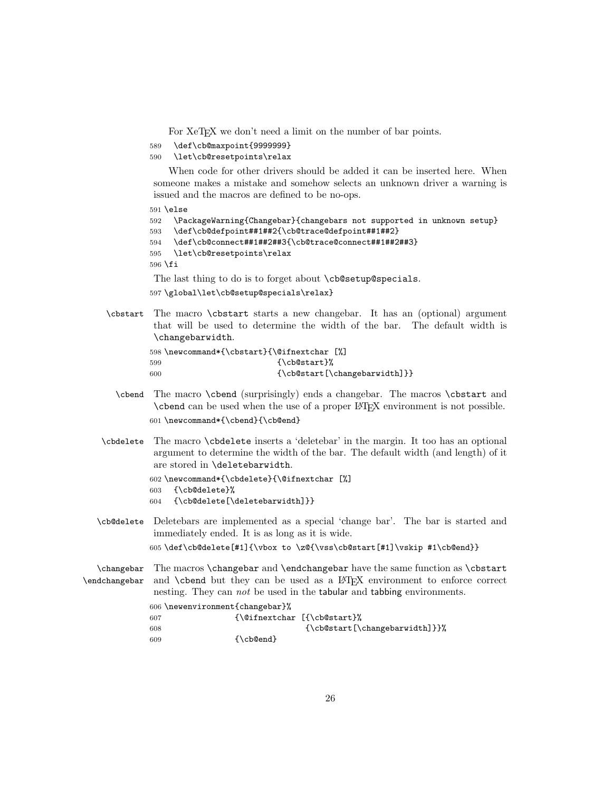For XeT<sub>E</sub>X we don't need a limit on the number of bar points.

```
589 \def\cb@maxpoint{9999999}
```

```
590 \let\cb@resetpoints\relax
```
When code for other drivers should be added it can be inserted here. When someone makes a mistake and somehow selects an unknown driver a warning is issued and the macros are defined to be no-ops.

591 \else

```
592 \PackageWarning{Changebar}{changebars not supported in unknown setup}
593 \def\cb@defpoint##1##2{\cb@trace@defpoint##1##2}
594 \def\cb@connect##1##2##3{\cb@trace@connect##1##2##3}
595 \let\cb@resetpoints\relax
596 \fi
The last thing to do is to forget about \cb@setup@specials.
```
597 \global\let\cb@setup@specials\relax}

\cbstart The macro \cbstart starts a new changebar. It has an (optional) argument that will be used to determine the width of the bar. The default width is \changebarwidth.

```
598 \newcommand*{\cbstart}{\@ifnextchar [%]
599 {\cb@start}%
600 {\cb@start[\changebarwidth]}}
```
- \cbend The macro \cbend (surprisingly) ends a changebar. The macros \cbstart and \cbend can be used when the use of a proper LATEX environment is not possible. 601 \newcommand\*{\cbend}{\cb@end}
- \cbdelete The macro \cbdelete inserts a 'deletebar' in the margin. It too has an optional argument to determine the width of the bar. The default width (and length) of it are stored in \deletebarwidth.

```
602 \newcommand*{\cbdelete}{\@ifnextchar [%]
603 {\cb@delete}%
604 {\cb@delete[\deletebarwidth]}}
```
\cb@delete Deletebars are implemented as a special 'change bar'. The bar is started and immediately ended. It is as long as it is wide.

605 \def\cb@delete[#1]{\vbox to \z@{\vss\cb@start[#1]\vskip #1\cb@end}}

\changebar The macros \changebar and \endchangebar have the same function as \cbstart \endchangebar and **\cbend** but they can be used as a L<sup>AT</sup>FX environment to enforce correct nesting. They can not be used in the tabular and tabbing environments.

```
606 \newenvironment{changebar}%
607 {\@ifnextchar [{\cb@start}%
608 {\c{}\ch{S\th{1}}}\609 {\cb@end}
```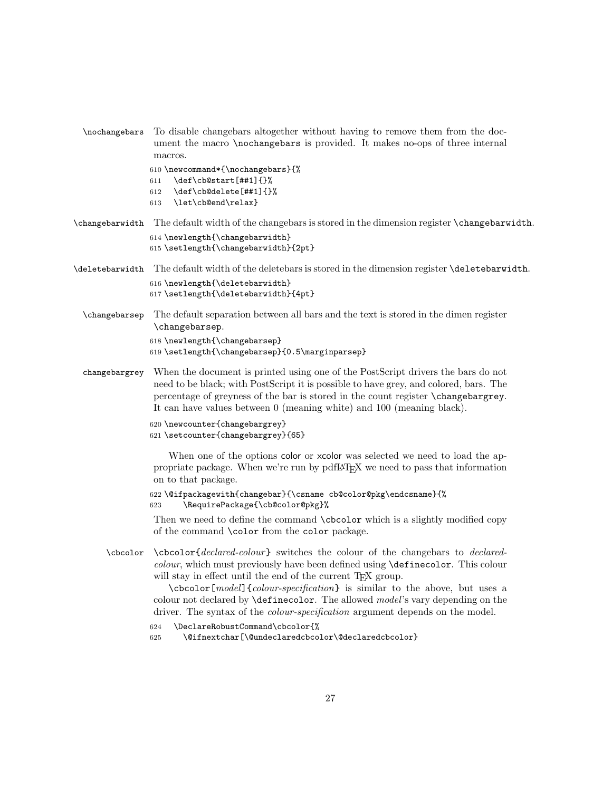```
\nochangebars To disable changebars altogether without having to remove them from the doc-
               ument the macro \nochangebars is provided. It makes no-ops of three internal
               macros.
```

```
610 \newcommand*{\nochangebars}{%
611 \def\cb@start[##1]{}%
612 \def\cb@delete[##1]{}%
613 \let\cb@end\relax}
```
- \changebarwidth The default width of the changebars is stored in the dimension register \changebarwidth. 614 \newlength{\changebarwidth} 615 \setlength{\changebarwidth}{2pt}
- \deletebarwidth The default width of the deletebars is stored in the dimension register \deletebarwidth. 616 \newlength{\deletebarwidth} 617 \setlength{\deletebarwidth}{4pt}
	- \changebarsep The default separation between all bars and the text is stored in the dimen register \changebarsep. 618 \newlength{\changebarsep}

```
619 \setlength{\changebarsep}{0.5\marginparsep}
```
changebargrey When the document is printed using one of the PostScript drivers the bars do not need to be black; with PostScript it is possible to have grey, and colored, bars. The percentage of greyness of the bar is stored in the count register \changebargrey. It can have values between 0 (meaning white) and 100 (meaning black).

```
620 \newcounter{changebargrey}
```

```
621 \setcounter{changebargrey}{65}
```
When one of the options color or xcolor was selected we need to load the appropriate package. When we're run by pdfLAT<sub>E</sub>X we need to pass that information on to that package.

```
622 \@ifpackagewith{changebar}{\csname cb@color@pkg\endcsname}{%
623 \RequirePackage{\cb@color@pkg}%
```
Then we need to define the command \cbcolor which is a slightly modified copy of the command \color from the color package.

\cbcolor \cbcolor{declared-colour} switches the colour of the changebars to declaredcolour, which must previously have been defined using \definecolor. This colour will stay in effect until the end of the current T<sub>E</sub>X group.

> \cbcolor[model]{colour-specification} is similar to the above, but uses a colour not declared by  $\definecolor$ . The allowed model's vary depending on the driver. The syntax of the *colour-specification* argument depends on the model.

```
624 \DeclareRobustCommand\cbcolor{%
```

```
625 \@ifnextchar[\@undeclaredcbcolor\@declaredcbcolor}
```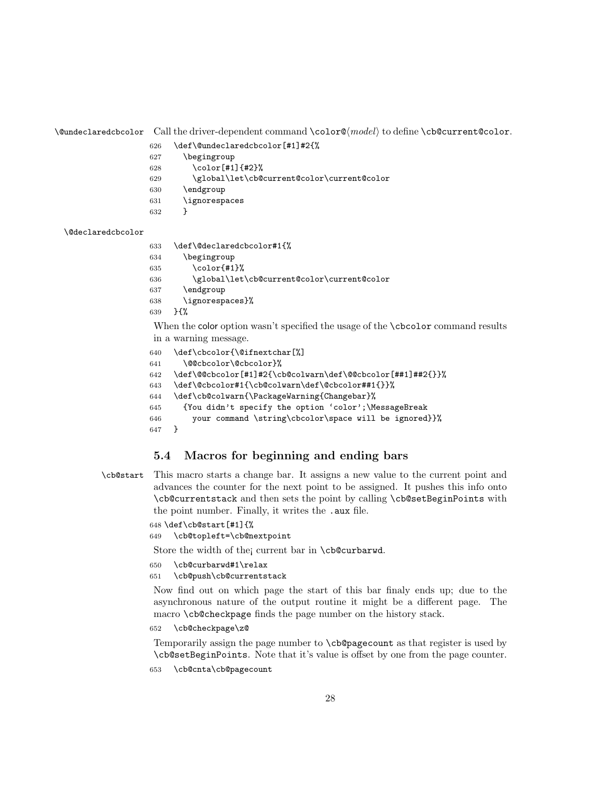\@undeclaredcbcolor Call the driver-dependent command \color@⟨model⟩ to define \cb@current@color.

- \def\@undeclaredcbcolor[#1]#2{%
- \begingroup
- \color[#1]{#2}%
- \global\let\cb@current@color\current@color
- \endgroup
- \ignorespaces
- }

#### \@declaredcbcolor

 \def\@declaredcbcolor#1{% \begingroup \color{#1}% \global\let\cb@current@color\current@color \endgroup \ignorespaces}% }{%

When the color option wasn't specified the usage of the **\cbcolor** command results in a warning message.

```
640 \def\cbcolor{\@ifnextchar[%]
641 \@@cbcolor\@cbcolor}%
642 \def\@@cbcolor[#1]#2{\cb@colwarn\def\@@cbcolor[##1]##2{}}%
643 \def\@cbcolor#1{\cb@colwarn\def\@cbcolor##1{}}%
644 \def\cb@colwarn{\PackageWarning{Changebar}%
645 {You didn't specify the option 'color';\MessageBreak
646 your command \string\cbcolor\space will be ignored}}%
647 }
```
## 5.4 Macros for beginning and ending bars

\cb@start This macro starts a change bar. It assigns a new value to the current point and advances the counter for the next point to be assigned. It pushes this info onto \cb@currentstack and then sets the point by calling \cb@setBeginPoints with the point number. Finally, it writes the .aux file.

```
648 \def\cb@start[#1]{%
```

```
649 \cb@topleft=\cb@nextpoint
```
Store the width of the current bar in \cb@curbarwd.

- \cb@curbarwd#1\relax
- \cb@push\cb@currentstack

Now find out on which page the start of this bar finaly ends up; due to the asynchronous nature of the output routine it might be a different page. The macro \cb@checkpage finds the page number on the history stack.

\cb@checkpage\z@

Temporarily assign the page number to \cb@pagecount as that register is used by \cb@setBeginPoints. Note that it's value is offset by one from the page counter.

\cb@cnta\cb@pagecount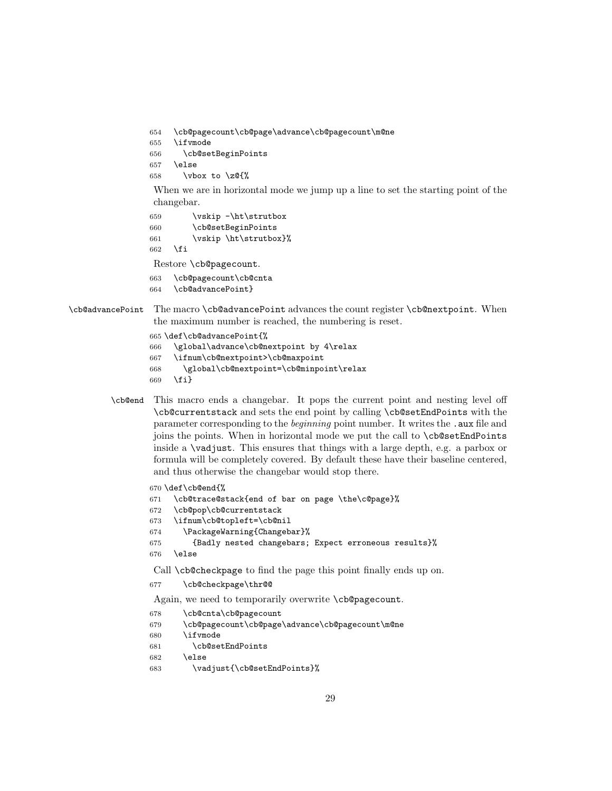```
654 \cb@pagecount\cb@page\advance\cb@pagecount\m@ne
655 \ifvmode
656 \cb@setBeginPoints
657 \else
```

```
658 \vbox to \z@{%
```
When we are in horizontal mode we jump up a line to set the starting point of the changebar.

```
659 \vskip -\ht\strutbox
660 \cb@setBeginPoints
661 \vskip \ht\strutbox}%
662 \fi
```
Restore \cb@pagecount.

```
663 \cb@pagecount\cb@cnta
```
\cb@advancePoint}

```
\cb@advancePoint The macro \cb@advancePoint advances the count register \cb@nextpoint. When
                 the maximum number is reached, the numbering is reset.
```

```
665 \def\cb@advancePoint{%
666 \global\advance\cb@nextpoint by 4\relax
667 \ifnum\cb@nextpoint>\cb@maxpoint
668 \global\cb@nextpoint=\cb@minpoint\relax
669 \fi}
```
\cb@end This macro ends a changebar. It pops the current point and nesting level off \cb@currentstack and sets the end point by calling \cb@setEndPoints with the parameter corresponding to the beginning point number. It writes the .aux file and joins the points. When in horizontal mode we put the call to \cb@setEndPoints inside a \vadjust. This ensures that things with a large depth, e.g. a parbox or formula will be completely covered. By default these have their baseline centered, and thus otherwise the changebar would stop there.

```
670 \def\cb@end{%
671 \cb@trace@stack{end of bar on page \the\c@page}%
672 \cb@pop\cb@currentstack
673 \ifnum\cb@topleft=\cb@nil
674 \PackageWarning{Changebar}%
675 {Badly nested changebars; Expect erroneous results}%
676 \else
Call \cb@checkpage to find the page this point finally ends up on.
677 \cb@checkpage\thr@@
Again, we need to temporarily overwrite \cb@pagecount.
678 \cb@cnta\cb@pagecount
679 \cb@pagecount\cb@page\advance\cb@pagecount\m@ne
680 \ifvmode
681 \cb@setEndPoints
682 \else
683 \vadjust{\cb@setEndPoints}%
```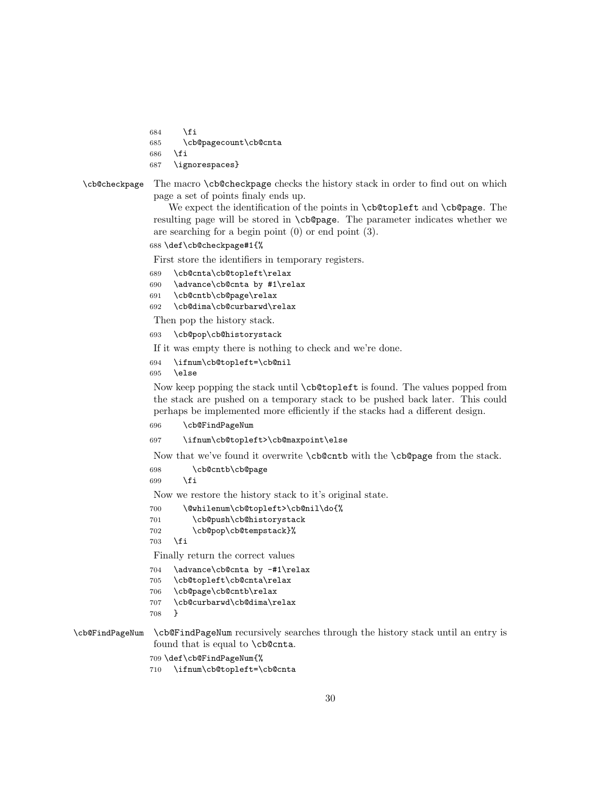```
684 \fi
685 \cb@pagecount\cb@cnta
686 \fi
```
687 \ignorespaces}

```
\cb@checkpage The macro \cb@checkpage checks the history stack in order to find out on which
               page a set of points finaly ends up.
```
We expect the identification of the points in **\cb@topleft** and **\cb@page**. The resulting page will be stored in \cb@page. The parameter indicates whether we are searching for a begin point (0) or end point (3).

#### 688 \def\cb@checkpage#1{%

First store the identifiers in temporary registers.

- 689 \cb@cnta\cb@topleft\relax
- 690 \advance\cb@cnta by #1\relax
- 691 \cb@cntb\cb@page\relax
- 692 \cb@dima\cb@curbarwd\relax

Then pop the history stack.

693 \cb@pop\cb@historystack

If it was empty there is nothing to check and we're done.

694 \ifnum\cb@topleft=\cb@nil

695 \else

Now keep popping the stack until \cb@topleft is found. The values popped from the stack are pushed on a temporary stack to be pushed back later. This could perhaps be implemented more efficiently if the stacks had a different design.

696 \cb@FindPageNum

```
697 \ifnum\cb@topleft>\cb@maxpoint\else
```
Now that we've found it overwrite \cb@cntb with the \cb@page from the stack.

```
698 \cb@cntb\cb@page
```

```
699 \setminusfi
```
Now we restore the history stack to it's original state.

```
700 \@whilenum\cb@topleft>\cb@nil\do{%
701 \cb@push\cb@historystack
702 \cb@pop\cb@tempstack}%
703 \fi
```
Finally return the correct values

```
704 \advance\cb@cnta by -#1\relax
```

```
705 \cb@topleft\cb@cnta\relax
```

```
706 \cb@page\cb@cntb\relax
```

```
707 \cb@curbarwd\cb@dima\relax
```
708 }

\cb@FindPageNum \cb@FindPageNum recursively searches through the history stack until an entry is found that is equal to \cb@cnta.

- 709 \def\cb@FindPageNum{%
- 710 \ifnum\cb@topleft=\cb@cnta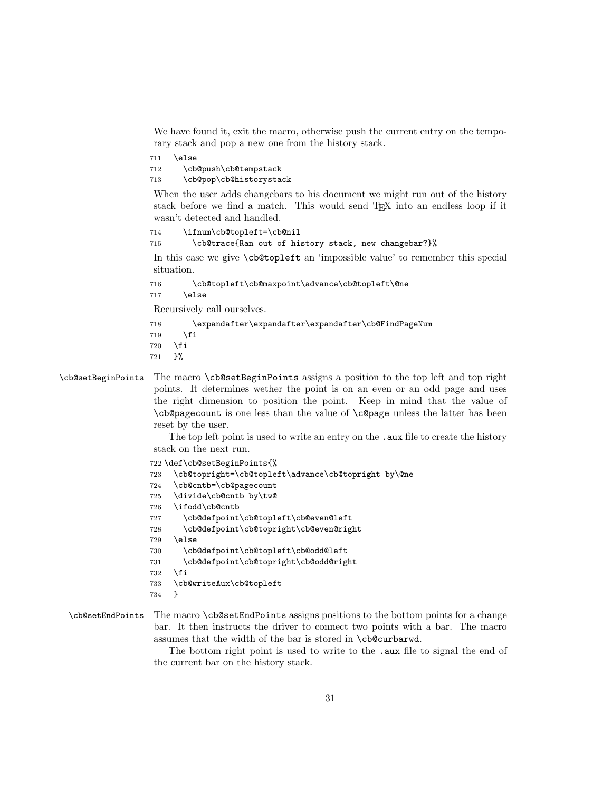We have found it, exit the macro, otherwise push the current entry on the temporary stack and pop a new one from the history stack.

711 \else 712 \cb@push\cb@tempstack

713 \cb@pop\cb@historystack

When the user adds changebars to his document we might run out of the history stack before we find a match. This would send TEX into an endless loop if it wasn't detected and handled.

714 \ifnum\cb@topleft=\cb@nil

715 \cb@trace{Ran out of history stack, new changebar?}%

In this case we give \cb@topleft an 'impossible value' to remember this special situation.

716 \cb@topleft\cb@maxpoint\advance\cb@topleft\@ne

717 \else

Recursively call ourselves.

718 \expandafter\expandafter\expandafter\cb@FindPageNum

```
719 \fi
```
720 \fi

721 }%

\cb@setBeginPoints The macro \cb@setBeginPoints assigns a position to the top left and top right points. It determines wether the point is on an even or an odd page and uses the right dimension to position the point. Keep in mind that the value of \cb@pagecount is one less than the value of \c@page unless the latter has been reset by the user.

> The top left point is used to write an entry on the . aux file to create the history stack on the next run.

```
722 \def\cb@setBeginPoints{%
723 \cb@topright=\cb@topleft\advance\cb@topright by\@ne
724 \cb@cntb=\cb@pagecount
725 \divide\cb@cntb by\tw@
726 \ifodd\cb@cntb
727 \cb@defpoint\cb@topleft\cb@even@left
728 \cb@defpoint\cb@topright\cb@even@right
729 \else
730 \cb@defpoint\cb@topleft\cb@odd@left
731 \cb@defpoint\cb@topright\cb@odd@right
732 \fi
733 \cb@writeAux\cb@topleft
734 }
```
## \cb@setEndPoints The macro \cb@setEndPoints assigns positions to the bottom points for a change bar. It then instructs the driver to connect two points with a bar. The macro assumes that the width of the bar is stored in \cb@curbarwd.

The bottom right point is used to write to the .aux file to signal the end of the current bar on the history stack.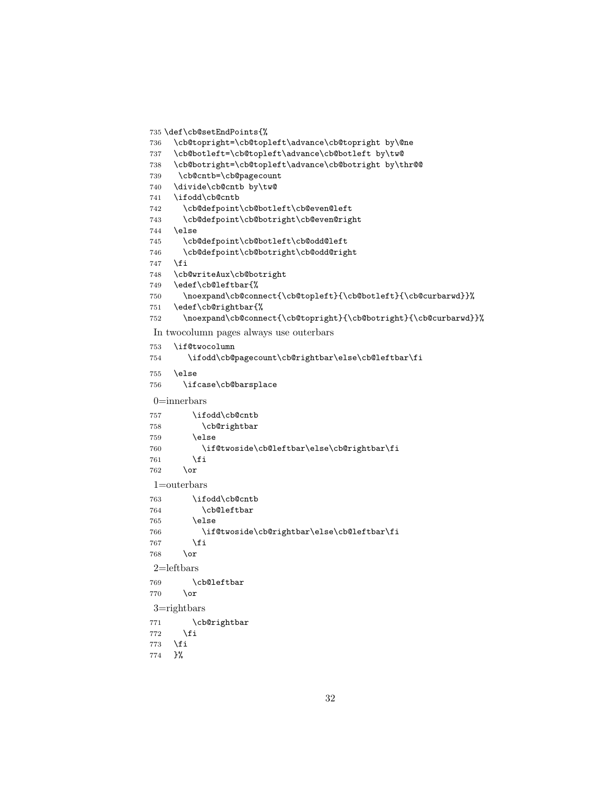```
735 \def\cb@setEndPoints{%
736 \cb@topright=\cb@topleft\advance\cb@topright by\@ne
737 \cb@botleft=\cb@topleft\advance\cb@botleft by\tw@
738 \cb@botright=\cb@topleft\advance\cb@botright by\thr@@
739 \cb@cntb=\cb@pagecount
740 \divide\cb@cntb by\tw@
741 \ifodd\cb@cntb
742 \cb@defpoint\cb@botleft\cb@even@left
743 \cb@defpoint\cb@botright\cb@even@right
744 \else
745 \cb@defpoint\cb@botleft\cb@odd@left
746 \cb@defpoint\cb@botright\cb@odd@right
747 \fi
748 \cb@writeAux\cb@botright
749 \edef\cb@leftbar{%
750 \noexpand\cb@connect{\cb@topleft}{\cb@botleft}{\cb@curbarwd}}%
751 \edef\cb@rightbar{%
752 \noexpand\cb@connect{\cb@topright}{\cb@botright}{\cb@curbarwd}}%
In twocolumn pages always use outerbars
753 \if@twocolumn
754 \ifodd\cb@pagecount\cb@rightbar\else\cb@leftbar\fi
755 \else
756 \ifcase\cb@barsplace
0=innerbars
757 \ifodd\cb@cntb
758 \cb@rightbar
759 \else
760 \if@twoside\cb@leftbar\else\cb@rightbar\fi
761 \fi
762 \or
1=outerbars
763 \ifodd\cb@cntb<br>764 \cb@leftbar
          \cb@leftbar
765 \else
766 \if@twoside\cb@rightbar\else\cb@leftbar\fi
767 \fi
768 \or
2=leftbars
769 \cb@leftbar
770 \or
3=rightbars
771 \cb@rightbar
772 \fi
773 \fi
774 }%
```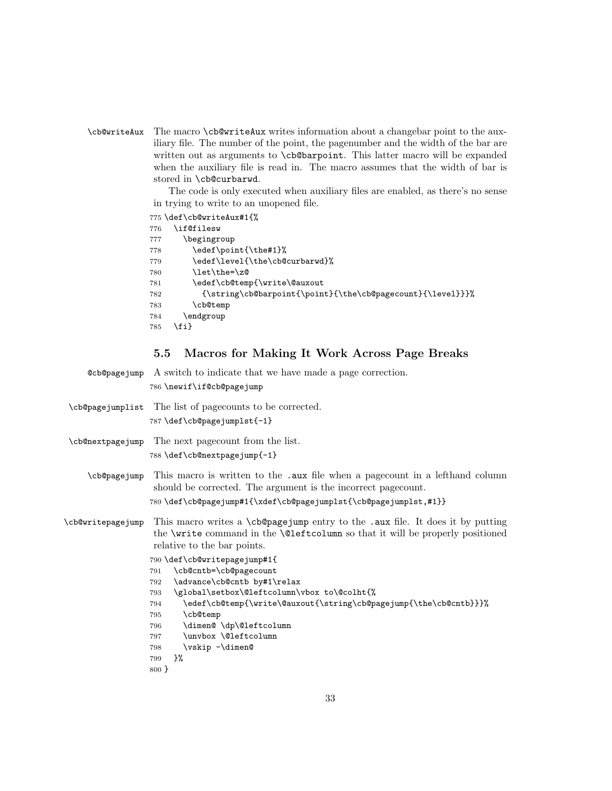\cb@writeAux The macro \cb@writeAux writes information about a changebar point to the auxiliary file. The number of the point, the pagenumber and the width of the bar are written out as arguments to **\cb@barpoint**. This latter macro will be expanded when the auxiliary file is read in. The macro assumes that the width of bar is stored in \cb@curbarwd.

> The code is only executed when auxiliary files are enabled, as there's no sense in trying to write to an unopened file.

```
775 \def\cb@writeAux#1{%
776 \if@filesw
777 \begingroup
778 \edef\point{\the#1}%
779 \edef\level{\the\cb@curbarwd}%
780 \let\the=\z0
781 \edef\cb@temp{\write\@auxout
782 {\string\cb@barpoint{\point}{\the\cb@pagecount}{\level}}}%
783 \cb@temp
784 \endgroup
785 \fi}
```
## 5.5 Macros for Making It Work Across Page Breaks

| Comparation of a switch to indicate that we have made a page correction.<br>786 \newif\if@cb@pagejump                                                                                                                                                                                                                                                                                                                                                                                                                                                                         |
|-------------------------------------------------------------------------------------------------------------------------------------------------------------------------------------------------------------------------------------------------------------------------------------------------------------------------------------------------------------------------------------------------------------------------------------------------------------------------------------------------------------------------------------------------------------------------------|
| \cb@pagejumplist The list of pagecounts to be corrected.<br>787 \def\cb@pagejumplst{-1}                                                                                                                                                                                                                                                                                                                                                                                                                                                                                       |
| The next page count from the list.<br>\cb@nextpagejump<br>788 \def\cb@nextpagejump{-1}                                                                                                                                                                                                                                                                                                                                                                                                                                                                                        |
| This macro is written to the .aux file when a page count in a left hand column<br>should be corrected. The argument is the incorrect page count.<br>789 \def\cb@pagejump#1{\xdef\cb@pagejumplst{\cb@pagejumplst,#1}}                                                                                                                                                                                                                                                                                                                                                          |
| This macro writes a \cb@pagejump entry to the .aux file. It does it by putting<br>the \write command in the \@1eftcolumn so that it will be properly positioned<br>relative to the bar points.<br>790 \def\cb@writepagejump#1{<br>\cb@cntb=\cb@pagecount<br>791<br>\advance\cb@cntb by#1\relax<br>792<br>\global\setbox\@leftcolumn\vbox to\@colht{%<br>793<br>\edef\cb@temp{\write\@auxout{\string\cb@pagejump{\the\cb@cntb}}}%<br>794<br>\cb@temp<br>795<br>\dimen@\dp\@leftcolumn<br>796<br>\unvbox \@leftcolumn<br>797<br>\vskip -\dimen@<br>798<br>3%<br>799<br>$800 \}$ |
|                                                                                                                                                                                                                                                                                                                                                                                                                                                                                                                                                                               |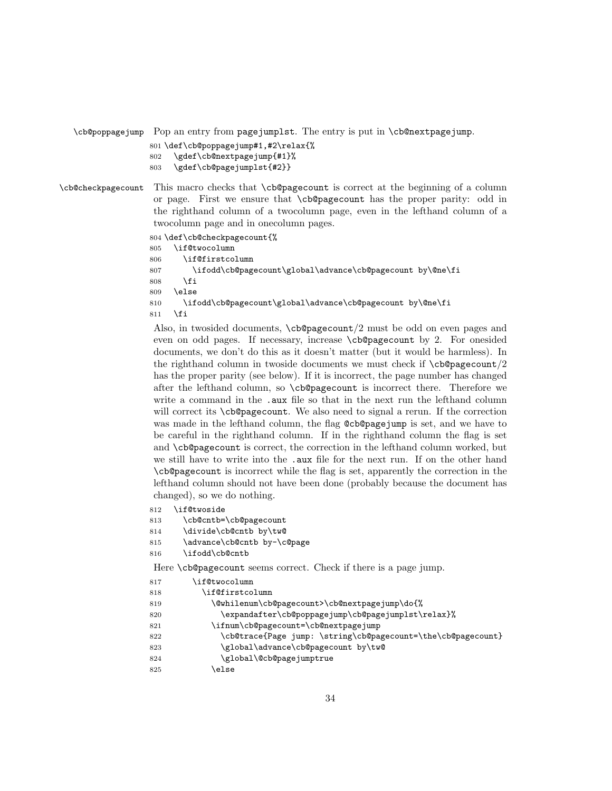```
\cb@poppagejump Pop an entry from pagejumplst. The entry is put in \cb@nextpagejump.
```

```
801 \def\cb@poppagejump#1,#2\relax{%
802 \gdef\cb@nextpagejump{#1}%
```

```
803 \gdef\cb@pagejumplst{#2}}
```

```
\cb@checkpagecount This macro checks that \cb@pagecount is correct at the beginning of a column
                   or page. First we ensure that \cb@pagecount has the proper parity: odd in
                   the righthand column of a twocolumn page, even in the lefthand column of a
                   twocolumn page and in onecolumn pages.
```
804 \def\cb@checkpagecount{%

```
805 \if@twocolumn
806 \if@firstcolumn
807 \ifodd\cb@pagecount\global\advance\cb@pagecount by\@ne\fi
808 \fi
809 \else
810 \ifodd\cb@pagecount\global\advance\cb@pagecount by\@ne\fi
811 \fi
```
Also, in twosided documents, \cb@pagecount/2 must be odd on even pages and even on odd pages. If necessary, increase \cb@pagecount by 2. For onesided documents, we don't do this as it doesn't matter (but it would be harmless). In the righthand column in two side documents we must check if  $\epsilon$  to  $\epsilon$ has the proper parity (see below). If it is incorrect, the page number has changed after the lefthand column, so \cb@pagecount is incorrect there. Therefore we write a command in the .aux file so that in the next run the lefthand column will correct its \cb@pagecount. We also need to signal a rerun. If the correction was made in the lefthand column, the flag @cb@pagejump is set, and we have to be careful in the righthand column. If in the righthand column the flag is set and \cb@pagecount is correct, the correction in the lefthand column worked, but we still have to write into the .aux file for the next run. If on the other hand \cb@pagecount is incorrect while the flag is set, apparently the correction in the lefthand column should not have been done (probably because the document has changed), so we do nothing.

- 812 \if@twoside
- 813 \cb@cntb=\cb@pagecount
- 814 \divide\cb@cntb by\tw@
- 815 \advance\cb@cntb by-\c@page
- 816 \ifodd\cb@cntb

Here **\cb@pagecount** seems correct. Check if there is a page jump.

| 817 | if@twocolumn                                                 |
|-----|--------------------------------------------------------------|
| 818 | \if@firstcolumn                                              |
| 819 | \@whilenum\cb@pagecount>\cb@nextpagejump\do{%                |
| 820 | \expandafter\cb@poppagejump\cb@pagejumplst\relax}%           |
| 821 | \ifnum\cb@pagecount=\cb@nextpagejump                         |
| 822 | \cb@trace{Page jump: \string\cb@pagecount=\the\cb@pagecount} |
| 823 | \global\advance\cb@pagecount by\tw@                          |
| 824 | \global\@cb@pagejumptrue                                     |
| 825 | else)                                                        |
|     |                                                              |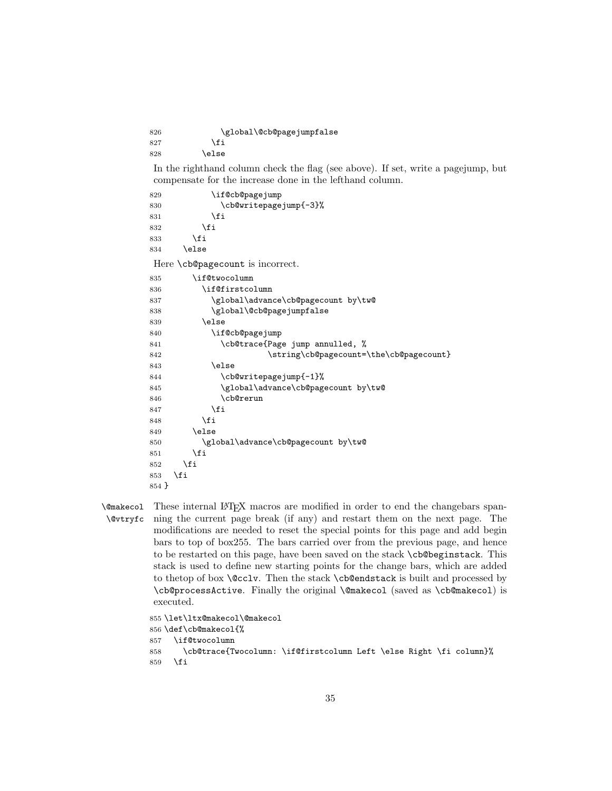826 \global\@cb@pagejumpfalse 827 \fi 828 \else

In the righthand column check the flag (see above). If set, write a pagejump, but compensate for the increase done in the lefthand column.

```
829 \if@cb@pagejump
830 \cb@writepagejump{-3}%
831 \fi
832 \fi
833 \fi
834 \else
Here \cb@pagecount is incorrect.
835 \if@twocolumn
836 \if@firstcolumn
837 \global\advance\cb@pagecount by\tw@
838 \global\@cb@pagejumpfalse
839 \else
840 \if@cb@pagejump
841 \cb@trace{Page jump annulled, %
842 \string\cb@pagecount=\the\cb@pagecount}
843 \else
844 \cb@writepagejump{-1}%
845 \global\advance\cb@pagecount by\tw@
846 \cb@rerun
847 \fi
848 \fi
849 \else
850 \global\advance\cb@pagecount by\tw@
851 \fi
852 \fi
853 \fi
854 }
```
\@makecol \@vtryfc These internal LAT<sub>EX</sub> macros are modified in order to end the changebars spanning the current page break (if any) and restart them on the next page. The modifications are needed to reset the special points for this page and add begin bars to top of box255. The bars carried over from the previous page, and hence to be restarted on this page, have been saved on the stack \cb@beginstack. This stack is used to define new starting points for the change bars, which are added to thetop of box \@cclv. Then the stack \cb@endstack is built and processed by \cb@processActive. Finally the original \@makecol (saved as \cb@makecol) is executed.

```
855 \let\ltx@makecol\@makecol
856 \def\cb@makecol{%
857 \if@twocolumn
858 \cb@trace{Twocolumn: \if@firstcolumn Left \else Right \fi column}%
859 \fi
```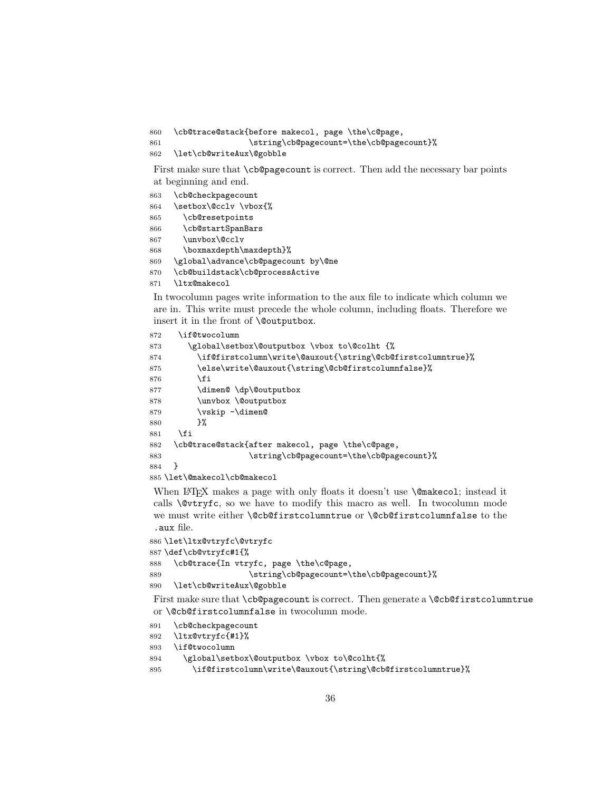```
860 \cb@trace@stack{before makecol, page \the\c@page,
```

```
861 \string\cb@pagecount=\the\cb@pagecount}%
```

```
862 \let\cb@writeAux\@gobble
```
First make sure that **\cb@pagecount** is correct. Then add the necessary bar points at beginning and end.

```
863 \cb@checkpagecount
864 \setbox\@cclv \vbox{%
865 \cb@resetpoints
866 \cb@startSpanBars
867 \unvbox\@cclv
868 \boxmaxdepth\maxdepth}%
869 \global\advance\cb@pagecount by\@ne
870 \cb@buildstack\cb@processActive
```
\ltx@makecol

In twocolumn pages write information to the aux file to indicate which column we are in. This write must precede the whole column, including floats. Therefore we insert it in the front of \@outputbox.

```
872 \if@twocolumn
873 \global\setbox\@outputbox \vbox to\@colht {%
874 \if@firstcolumn\write\@auxout{\string\@cb@firstcolumntrue}%
875 \else\write\@auxout{\string\@cb@firstcolumnfalse}%
876 \fi
877 \dimen@ \dp\@outputbox
878 \unvbox \@outputbox
879 \vskip -\dimen@
880 }%
881 \fi
882 \cb@trace@stack{after makecol, page \the\c@page,
883 \string\cb@pagecount=\the\cb@pagecount}%
884 }
```
\let\@makecol\cb@makecol

When LAT<sub>EX</sub> makes a page with only floats it doesn't use **\@makecol**; instead it calls  $\&V$ ryfc, so we have to modify this macro as well. In two column mode we must write either \@cb@firstcolumntrue or \@cb@firstcolumnfalse to the .aux file.

```
886 \let\ltx@vtryfc\@vtryfc
887 \def\cb@vtryfc#1{%
888 \cb@trace{In vtryfc, page \the\c@page,
889 \string\cb@pagecount=\the\cb@pagecount}%
890 \let\cb@writeAux\@gobble
```
First make sure that \cb@pagecount is correct. Then generate a \@cb@firstcolumntrue or \@cb@firstcolumnfalse in twocolumn mode.

```
891 \cb@checkpagecount
```

```
892 \ltx@vtryfc{#1}%
```

```
893 \if@twocolumn
```

```
894 \global\setbox\@outputbox \vbox to\@colht{%
```

```
895 \if@firstcolumn\write\@auxout{\string\@cb@firstcolumntrue}%
```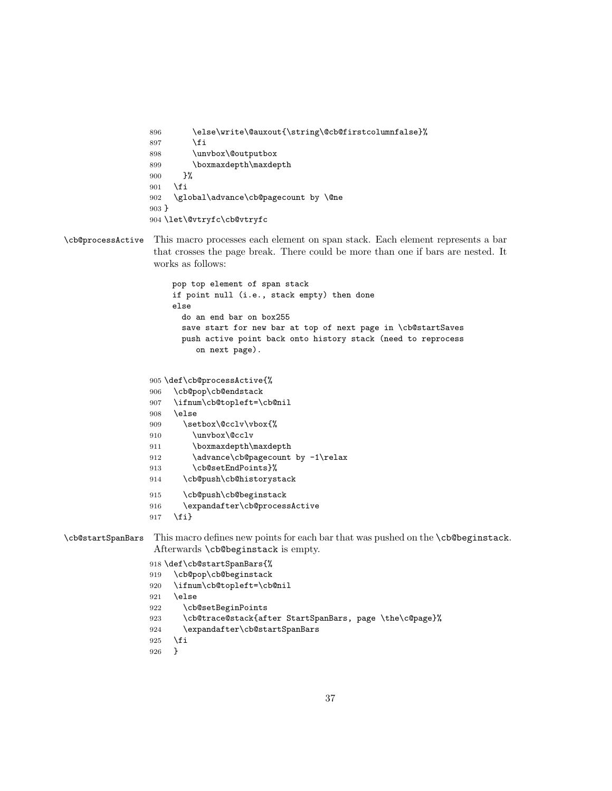```
896 \else\write\@auxout{\string\@cb@firstcolumnfalse}%
897 \fi
898 \unvbox\@outputbox
899 \boxmaxdepth\maxdepth
900 \frac{1}{6}901 \fi
902 \global\advance\cb@pagecount by \@ne
903 }
904 \let\@vtryfc\cb@vtryfc
```
\cb@processActive This macro processes each element on span stack. Each element represents a bar that crosses the page break. There could be more than one if bars are nested. It works as follows:

```
pop top element of span stack
                      if point null (i.e., stack empty) then done
                      else
                        do an end bar on box255
                        save start for new bar at top of next page in \cb@startSaves
                        push active point back onto history stack (need to reprocess
                           on next page).
                 905 \def\cb@processActive{%
                 906 \cb@pop\cb@endstack
                 907 \ifnum\cb@topleft=\cb@nil
                 908 \else
                 909 \setbox\@cclv\vbox{%
                 910 \unvbox\@cclv
                 911 \boxmaxdepth\maxdepth
                 912 \advance\cb@pagecount by -1\relax
                 913 \cb@setEndPoints}%
                 914 \cb@push\cb@historystack
                 915 \cb@push\cb@beginstack
                 916 \expandafter\cb@processActive
                 917 \fi}
\cb@startSpanBars This macro defines new points for each bar that was pushed on the \cb@beginstack.
                  Afterwards \cb@beginstack is empty.
```
918 \def\cb@startSpanBars{%

```
919 \cb@pop\cb@beginstack
920 \ifnum\cb@topleft=\cb@nil
```
- 921 \else
- 922 \cb@setBeginPoints
- 923 \cb@trace@stack{after StartSpanBars, page \the\c@page}%
- 924 \expandafter\cb@startSpanBars
- 925 \fi
- 926 }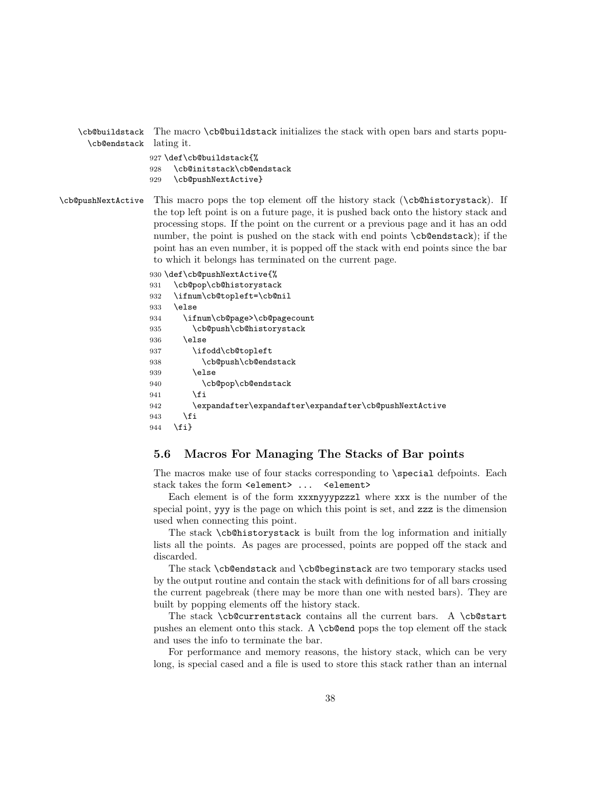|                         | \cb@buildstack The macro \cb@buildstack initializes the stack with open bars and starts popu-   |
|-------------------------|-------------------------------------------------------------------------------------------------|
| \cb@endstack lating it. |                                                                                                 |
|                         | 927 \def\cb@buildstack{%<br>\cb@initstack\cb@endstack<br>928<br>929 \cb@pushNextActive}         |
|                         | \cb@pushNextActive This macro pops the top element off the history stack (\cb@historystack). If |

the top left point is on a future page, it is pushed back onto the history stack and processing stops. If the point on the current or a previous page and it has an odd number, the point is pushed on the stack with end points \cb@endstack); if the point has an even number, it is popped off the stack with end points since the bar to which it belongs has terminated on the current page.

```
930 \def\cb@pushNextActive{%
931 \cb@pop\cb@historystack
932 \ifnum\cb@topleft=\cb@nil
933 \text{ kg}934 \ifnum\cb@page>\cb@pagecount
935 \cb@push\cb@historystack
936 \text{le}937 \ifodd\cb@topleft
938 \cb@push\cb@endstack
939 \text{delse}940 \cb@pop\cb@endstack
941 \fi
942 \expandafter\expandafter\expandafter\cb@pushNextActive
943 \fi
944 \fi}
```
## 5.6 Macros For Managing The Stacks of Bar points

The macros make use of four stacks corresponding to **\special** defpoints. Each stack takes the form <element> ... <element>

Each element is of the form xxxnyyypzzzl where xxx is the number of the special point, yyy is the page on which this point is set, and zzz is the dimension used when connecting this point.

The stack \cb@historystack is built from the log information and initially lists all the points. As pages are processed, points are popped off the stack and discarded.

The stack \cb@endstack and \cb@beginstack are two temporary stacks used by the output routine and contain the stack with definitions for of all bars crossing the current pagebreak (there may be more than one with nested bars). They are built by popping elements off the history stack.

The stack \cb@currentstack contains all the current bars. A \cb@start pushes an element onto this stack. A \cb@end pops the top element off the stack and uses the info to terminate the bar.

For performance and memory reasons, the history stack, which can be very long, is special cased and a file is used to store this stack rather than an internal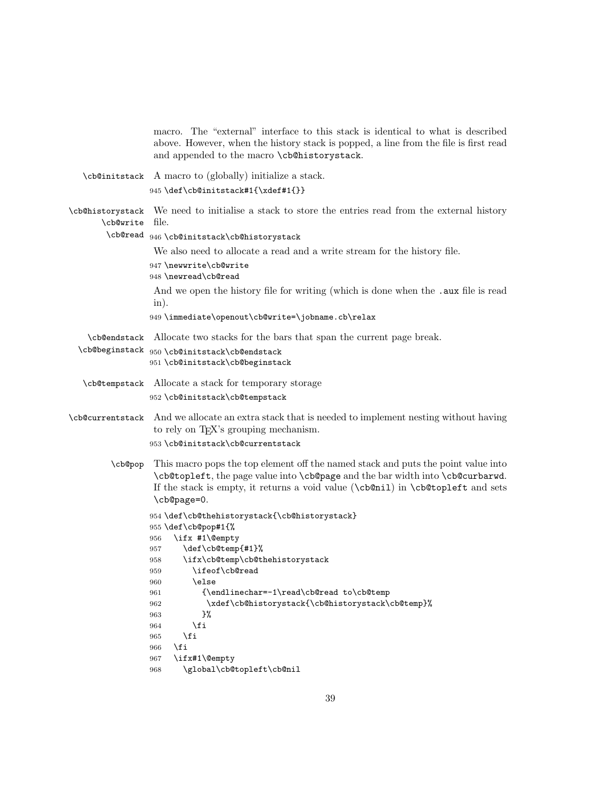|                               | macro. The "external" interface to this stack is identical to what is described<br>above. However, when the history stack is popped, a line from the file is first read<br>and appended to the macro \cb@historystack.                                                                                                                                          |
|-------------------------------|-----------------------------------------------------------------------------------------------------------------------------------------------------------------------------------------------------------------------------------------------------------------------------------------------------------------------------------------------------------------|
|                               | \cb@initstack A macro to (globally) initialize a stack.<br>945 \def\cb@initstack#1{\xdef#1{}}                                                                                                                                                                                                                                                                   |
| \cb@historystack<br>\cb@write | We need to initialise a stack to store the entries read from the external history<br>file.<br>\cb@read $946$ \cb@initstack\cb@historystack<br>We also need to allocate a read and a write stream for the history file.<br>947 \newwrite\cb@write<br>948 \newread\cb@read<br>And we open the history file for writing (which is done when the . aux file is read |
|                               | $\infty$ ).                                                                                                                                                                                                                                                                                                                                                     |
|                               | 949 \immediate\openout\cb@write=\jobname.cb\relax                                                                                                                                                                                                                                                                                                               |
| <b>\cb@endstack</b>           | Allocate two stacks for the bars that span the current page break.                                                                                                                                                                                                                                                                                              |
|                               | $\verb \cb@beginstack 950\cb@initstack\cb@endstack $<br>951 \cb@initstack\cb@beginstack                                                                                                                                                                                                                                                                         |
|                               | \cb@tempstack Allocate a stack for temporary storage                                                                                                                                                                                                                                                                                                            |
|                               | 952 \cb@initstack\cb@tempstack                                                                                                                                                                                                                                                                                                                                  |
|                               | \cb@currentstack And we allocate an extra stack that is needed to implement nesting without having<br>to rely on TFX's grouping mechanism.                                                                                                                                                                                                                      |
|                               | 953 \cb@initstack\cb@currentstack                                                                                                                                                                                                                                                                                                                               |
| \cb@pop                       | This macro pops the top element off the named stack and puts the point value into<br>\cb@topleft, the page value into \cb@page and the bar width into \cb@curbarwd.<br>If the stack is empty, it returns a void value (\cb@nil) in \cb@topleft and sets<br>\cb@page=0.                                                                                          |
|                               | 954 \def\cb@thehistorystack{\cb@historystack}<br>955 \def\cb@pop#1{%<br>\ifx #1\@empty<br>956                                                                                                                                                                                                                                                                   |
|                               | \def\cb@temp{#1}%<br>957                                                                                                                                                                                                                                                                                                                                        |
|                               | \ifx\cb@temp\cb@thehistorystack<br>958<br>\ifeof\cb@read<br>959                                                                                                                                                                                                                                                                                                 |
|                               | \else<br>960                                                                                                                                                                                                                                                                                                                                                    |
|                               | {\endlinechar=-1\read\cb@read to\cb@temp<br>961                                                                                                                                                                                                                                                                                                                 |
|                               | \xdef\cb@historystack{\cb@historystack\cb@temp}%<br>962<br>}%<br>963                                                                                                                                                                                                                                                                                            |
|                               | \fi<br>964                                                                                                                                                                                                                                                                                                                                                      |
|                               | \fi<br>965                                                                                                                                                                                                                                                                                                                                                      |
|                               | \fi<br>966<br>\ifx#1\@empty<br>967                                                                                                                                                                                                                                                                                                                              |
|                               | \global\cb@topleft\cb@nil<br>968                                                                                                                                                                                                                                                                                                                                |
|                               |                                                                                                                                                                                                                                                                                                                                                                 |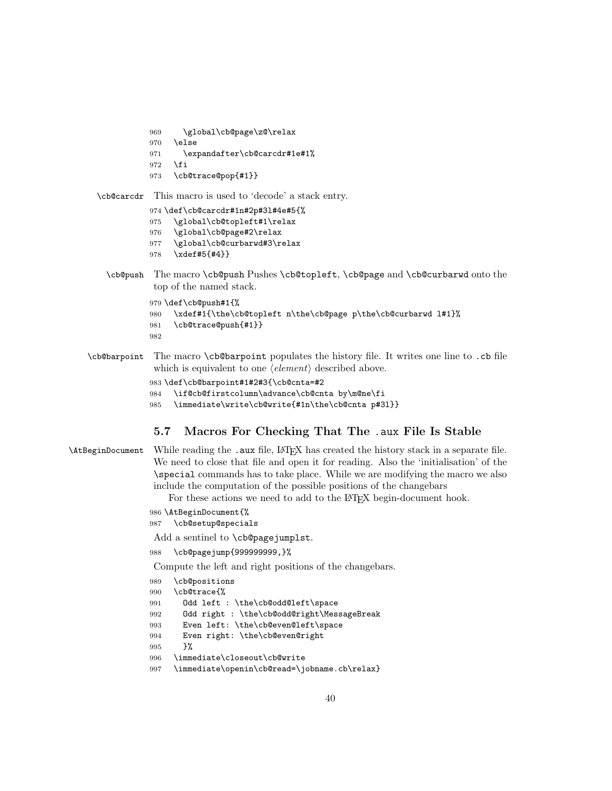```
969 \global\cb@page\z@\relax
```

```
970 \else
```
- \expandafter\cb@carcdr#1e#1%
- \fi
- \cb@trace@pop{#1}}

\cb@carcdr This macro is used to 'decode' a stack entry.

- \def\cb@carcdr#1n#2p#3l#4e#5{%
- \global\cb@topleft#1\relax
- \global\cb@page#2\relax
- \global\cb@curbarwd#3\relax
- \xdef#5{#4}}
- \cb@push The macro \cb@push Pushes \cb@topleft, \cb@page and \cb@curbarwd onto the top of the named stack.

```
979 \def\cb@push#1{%
980 \xdef#1{\the\cb@topleft n\the\cb@page p\the\cb@curbarwd l#1}%
981 \cb@trace@push{#1}}
982
```
\cb@barpoint The macro \cb@barpoint populates the history file. It writes one line to .cb file which is equivalent to one  $\langle element \rangle$  described above.

```
983 \def\cb@barpoint#1#2#3{\cb@cnta=#2
```
- \if@cb@firstcolumn\advance\cb@cnta by\m@ne\fi
- \immediate\write\cb@write{#1n\the\cb@cnta p#3l}}

## 5.7 Macros For Checking That The .aux File Is Stable

## \AtBeginDocument While reading the .aux file, LATEX has created the history stack in a separate file. We need to close that file and open it for reading. Also the 'initialisation' of the \special commands has to take place. While we are modifying the macro we also include the computation of the possible positions of the changebars

For these actions we need to add to the LAT<sub>EX</sub> begin-document hook.

```
986 \AtBeginDocument{%
987 \cb@setup@specials
```
Add a sentinel to \cb@pagejumplst.

```
988 \cb@pagejump{999999999,}%
```
Compute the left and right positions of the changebars.

```
989 \cb@positions
990 \cb@trace{%
991 Odd left : \the\cb@odd@left\space
992 Odd right : \the\cb@odd@right\MessageBreak
993 Even left: \the\cb@even@left\space
994 Even right: \the\cb@even@right
995 }%
996 \immediate\closeout\cb@write
997 \immediate\openin\cb@read=\jobname.cb\relax}
```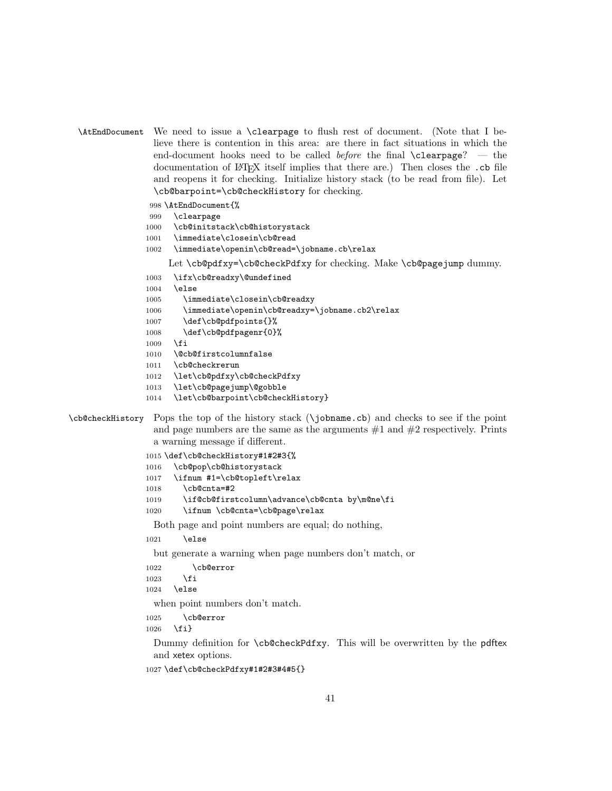```
\AtEndDocument We need to issue a \clearpage to flush rest of document. (Note that I be-
                lieve there is contention in this area: are there in fact situations in which the
                end-document hooks need to be called before the final \text{clearpage?} — the
                documentation of LATEX itself implies that there are.) Then closes the .cb file
                and reopens it for checking. Initialize history stack (to be read from file). Let
                \cb@barpoint=\cb@checkHistory for checking.
```
998 \AtEndDocument{%

- 999 \clearpage
- 1000 \cb@initstack\cb@historystack
- 1001 \immediate\closein\cb@read
- 1002 \immediate\openin\cb@read=\jobname.cb\relax

Let \cb@pdfxy=\cb@checkPdfxy for checking. Make \cb@pagejump dummy.

1003 \ifx\cb@readxy\@undefined

- 1004 \else
- 1005 \immediate\closein\cb@readxy
- 1006 \immediate\openin\cb@readxy=\jobname.cb2\relax
- 1007 \def\cb@pdfpoints{}%
- 1008 \def\cb@pdfpagenr{0}%
- 1009 \fi
- 1010 \@cb@firstcolumnfalse
- 1011 \cb@checkrerun
- 1012 \let\cb@pdfxy\cb@checkPdfxy
- 1013 \let\cb@pagejump\@gobble
- 1014 \let\cb@barpoint\cb@checkHistory}

```
\cb@checkHistory Pops the top of the history stack (\jobname.cb) and checks to see if the point
                  and page numbers are the same as the arguments #1 and #2 respectively. Prints
                  a warning message if different.
```

```
1015 \def\cb@checkHistory#1#2#3{%
1016 \cb@pop\cb@historystack
1017 \ifnum #1=\cb@topleft\relax
1018 \cb@cnta=#2
1019 \if@cb@firstcolumn\advance\cb@cnta by\m@ne\fi
1020 \ifnum \cb@cnta=\cb@page\relax
```
Both page and point numbers are equal; do nothing,

1021 \else

but generate a warning when page numbers don't match, or

```
1022 \cb@error
1023 \fi
1024 \else
```
when point numbers don't match.

1025 \cb@error

1026 \fi}

Dummy definition for \cb@checkPdfxy. This will be overwritten by the pdftex and xetex options.

```
1027 \def\cb@checkPdfxy#1#2#3#4#5{}
```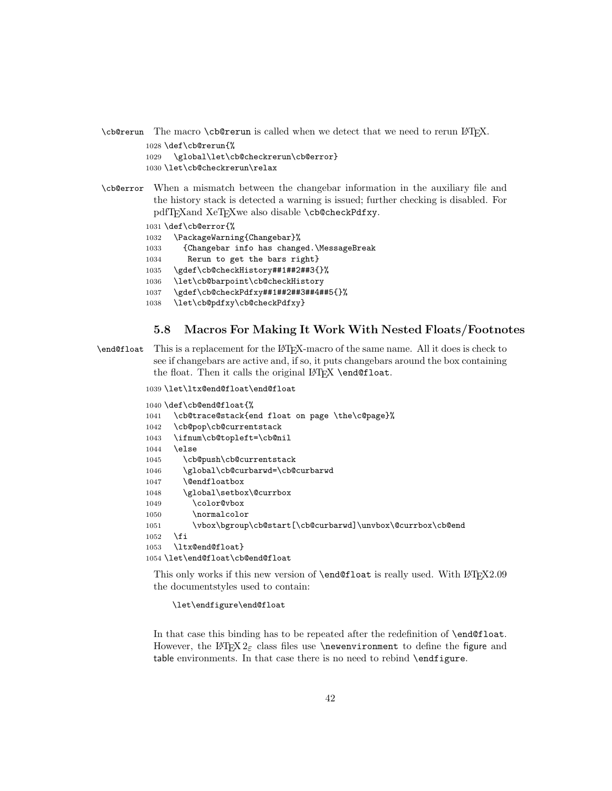\cb@rerun The macro \cb@rerun is called when we detect that we need to rerun LATEX.

1028 \def\cb@rerun{%

1029 \global\let\cb@checkrerun\cb@error} 1030 \let\cb@checkrerun\relax

\cb@error When a mismatch between the changebar information in the auxiliary file and the history stack is detected a warning is issued; further checking is disabled. For pdfTFXand XeTFXwe also disable \cb@checkPdfxy.

1031 \def\cb@error{%

1032 \PackageWarning{Changebar}%

1033 {Changebar info has changed.\MessageBreak

- 1034 Rerun to get the bars right}
- 1035 \gdef\cb@checkHistory##1##2##3{}%
- 1036 \let\cb@barpoint\cb@checkHistory
- 1037 \gdef\cb@checkPdfxy##1##2##3##4##5{}%
- 1038 \let\cb@pdfxy\cb@checkPdfxy}

## 5.8 Macros For Making It Work With Nested Floats/Footnotes

\end@float This is a replacement for the LATEX-macro of the same name. All it does is check to see if changebars are active and, if so, it puts changebars around the box containing the float. Then it calls the original LATEX \end@float.

1039 \let\ltx@end@float\end@float

```
1040 \def\cb@end@float{%
1041 \cb@trace@stack{end float on page \the\c@page}%
1042 \cb@pop\cb@currentstack
1043 \ifnum\cb@topleft=\cb@nil
1044 \else
1045 \cb@push\cb@currentstack
1046 \global\cb@curbarwd=\cb@curbarwd
1047 \@endfloatbox
1048 \global\setbox\@currbox
1049 \color@vbox
1050 \normalcolor
1051 \vbox\bgroup\cb@start[\cb@curbarwd]\unvbox\@currbox\cb@end
1052 \fi
1053 \ltx@end@float}
1054 \let\end@float\cb@end@float
```
This only works if this new version of  $\end{equation}$  and  $\end{equation}$  used. With  $L_{T}X2.09$ the documentstyles used to contain:

\let\endfigure\end@float

In that case this binding has to be repeated after the redefinition of \end@float. However, the LAT<sub>E</sub>X  $2_{\epsilon}$  class files use **\newenvironment** to define the figure and table environments. In that case there is no need to rebind \endfigure.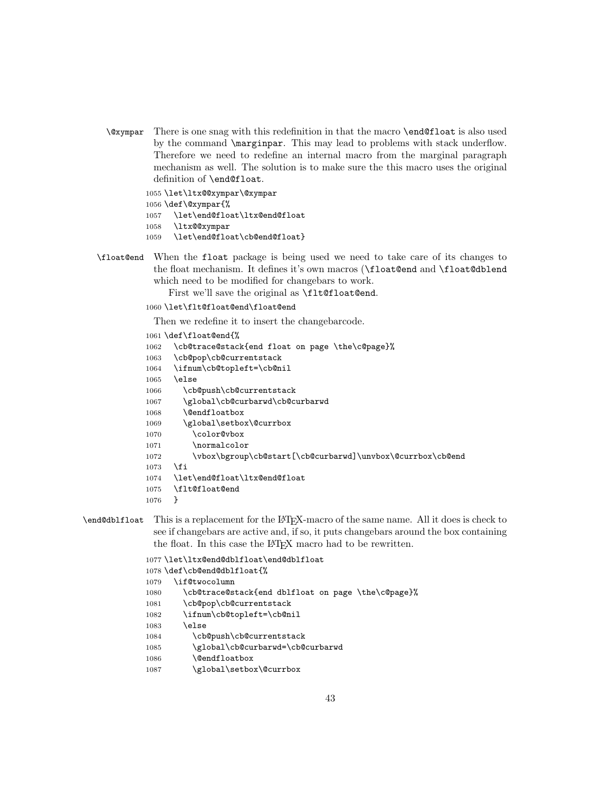\@xympar There is one snag with this redefinition in that the macro \end@float is also used by the command \marginpar. This may lead to problems with stack underflow. Therefore we need to redefine an internal macro from the marginal paragraph mechanism as well. The solution is to make sure the this macro uses the original definition of \end@float.

 \let\ltx@@xympar\@xympar \def\@xympar{% \let\end@float\ltx@end@float \ltx@@xympar

- 1059 \let\end@float\cb@end@float}
- \float@end When the float package is being used we need to take care of its changes to the float mechanism. It defines it's own macros (\float@end and \float@dblend which need to be modified for changebars to work.

First we'll save the original as **\flt@float@end.** 

1060 \let\flt@float@end\float@end

Then we redefine it to insert the changebarcode.

```
1061 \def\float@end{%
1062 \cb@trace@stack{end float on page \the\c@page}%
1063 \cb@pop\cb@currentstack
1064 \ifnum\cb@topleft=\cb@nil
1065 \else
1066 \cb@push\cb@currentstack
1067 \global\cb@curbarwd\cb@curbarwd
1068 \@endfloatbox
1069 \global\setbox\@currbox
1070 \color@vbox
1071 \normalcolor
1072 \vbox\bgroup\cb@start[\cb@curbarwd]\unvbox\@currbox\cb@end
1073 \fi
1074 \let\end@float\ltx@end@float
1075 \flt@float@end
1076 }
```
\end@dblfloat This is a replacement for the LATEX-macro of the same name. All it does is check to see if changebars are active and, if so, it puts changebars around the box containing the float. In this case the LAT<sub>EX</sub> macro had to be rewritten.

```
1077 \let\ltx@end@dblfloat\end@dblfloat
1078 \def\cb@end@dblfloat{%
1079 \if@twocolumn
1080 \cb@trace@stack{end dblfloat on page \the\c@page}%
1081 \cb@pop\cb@currentstack
1082 \ifnum\cb@topleft=\cb@nil
1083 \else
1084 \cb@push\cb@currentstack
1085 \global\cb@curbarwd=\cb@curbarwd
1086 \@endfloatbox
1087 \global\setbox\@currbox
```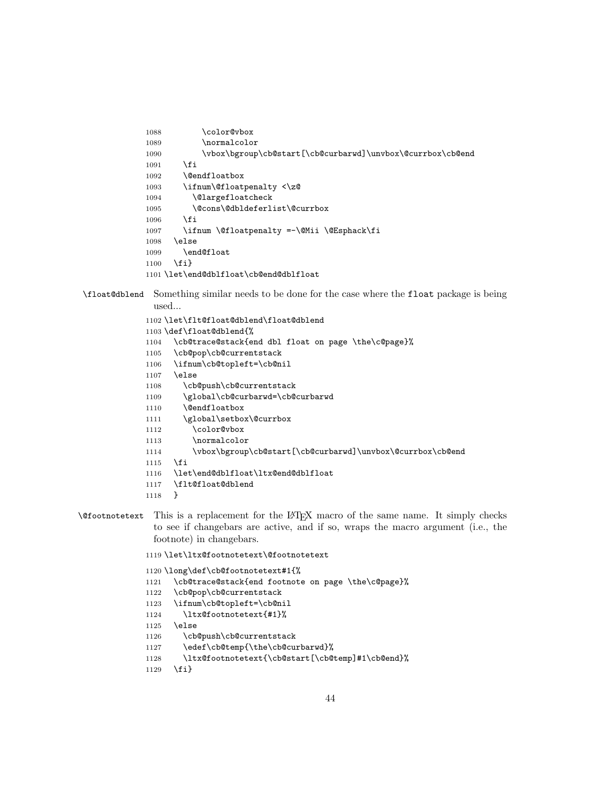```
1088 \color@vbox
1089 \normalcolor
1090 \vbox\bgroup\cb@start[\cb@curbarwd]\unvbox\@currbox\cb@end
1091 \fi
1092 \@endfloatbox
1093 \ifnum\@floatpenalty <\z@
1094 \@largefloatcheck
1095 \@cons\@dbldeferlist\@currbox
1096 \fi
1097 \ifnum \@floatpenalty =-\@Mii \@Esphack\fi
1098 \else
1099 \end@float
1100 \fi}
1101 \let\end@dblfloat\cb@end@dblfloat
```
\float@dblend Something similar needs to be done for the case where the float package is being used...

```
1102 \let\flt@float@dblend\float@dblend
1103 \def\float@dblend{%
1104 \cb@trace@stack{end dbl float on page \the\c@page}%
1105 \cb@pop\cb@currentstack
1106 \ifnum\cb@topleft=\cb@nil
1107 \else
1108 \cb@push\cb@currentstack
1109 \global\cb@curbarwd=\cb@curbarwd
1110 \@endfloatbox
1111 \global\setbox\@currbox
1112 \color@vbox
1113 \normalcolor
1114 \vbox\bgroup\cb@start[\cb@curbarwd]\unvbox\@currbox\cb@end
1115 \fi
1116 \let\end@dblfloat\ltx@end@dblfloat
1117 \flt@float@dblend
```
- }
- \@footnotetext This is a replacement for the LATEX macro of the same name. It simply checks to see if changebars are active, and if so, wraps the macro argument (i.e., the footnote) in changebars.

\let\ltx@footnotetext\@footnotetext

```
1120 \long\def\cb@footnotetext#1{%
```
- \cb@trace@stack{end footnote on page \the\c@page}%
- \cb@pop\cb@currentstack
- \ifnum\cb@topleft=\cb@nil
- \ltx@footnotetext{#1}%
- \else
- \cb@push\cb@currentstack
- 1127 \edef\cb@temp{\the\cb@curbarwd}%
- \ltx@footnotetext{\cb@start[\cb@temp]#1\cb@end}%
- 1129 \fi}